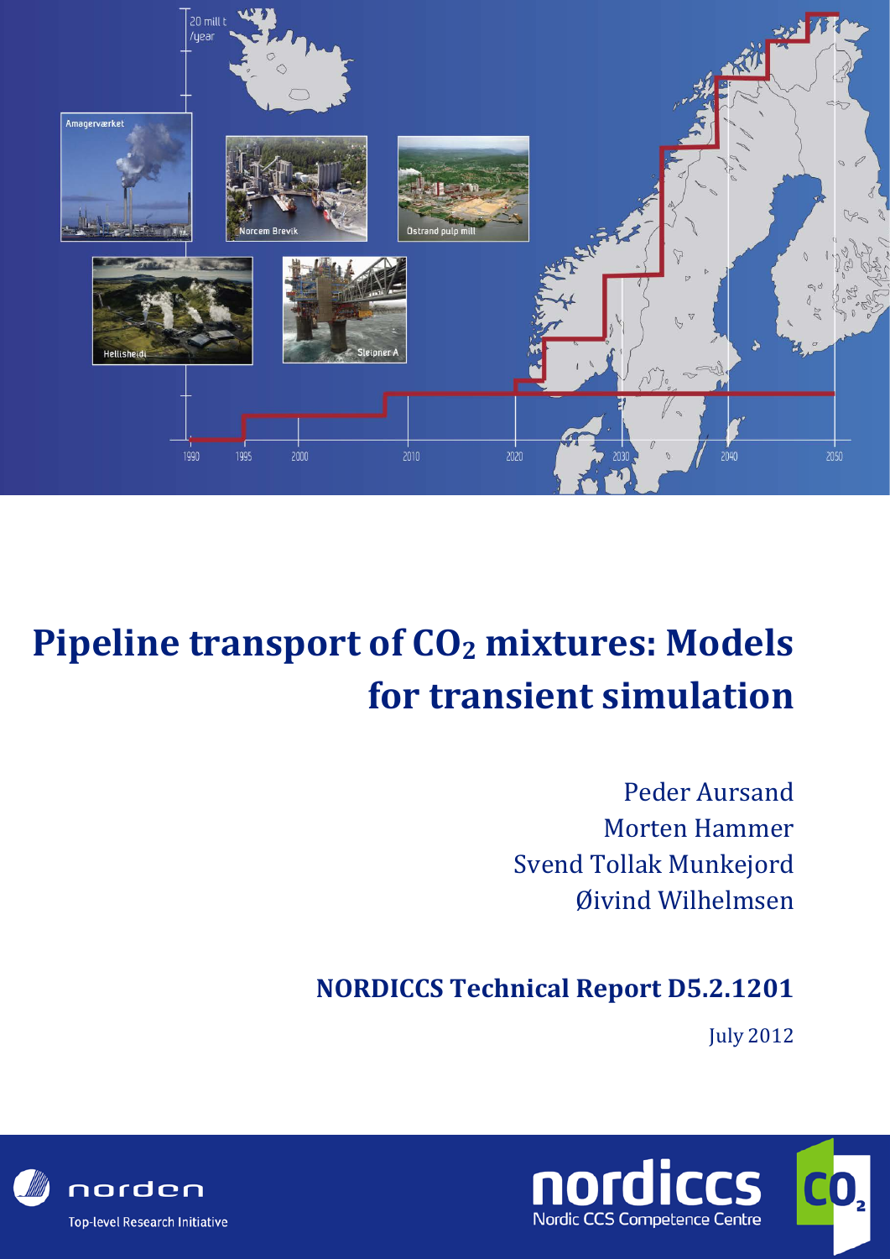

# **Pipeline transport of CO2 mixtures: Models for transient simulation**

Peder Aursand Morten Hammer Svend Tollak Munkejord Øivind Wilhelmsen

### **NORDICCS Technical Report D5.2.1201**

July 2012



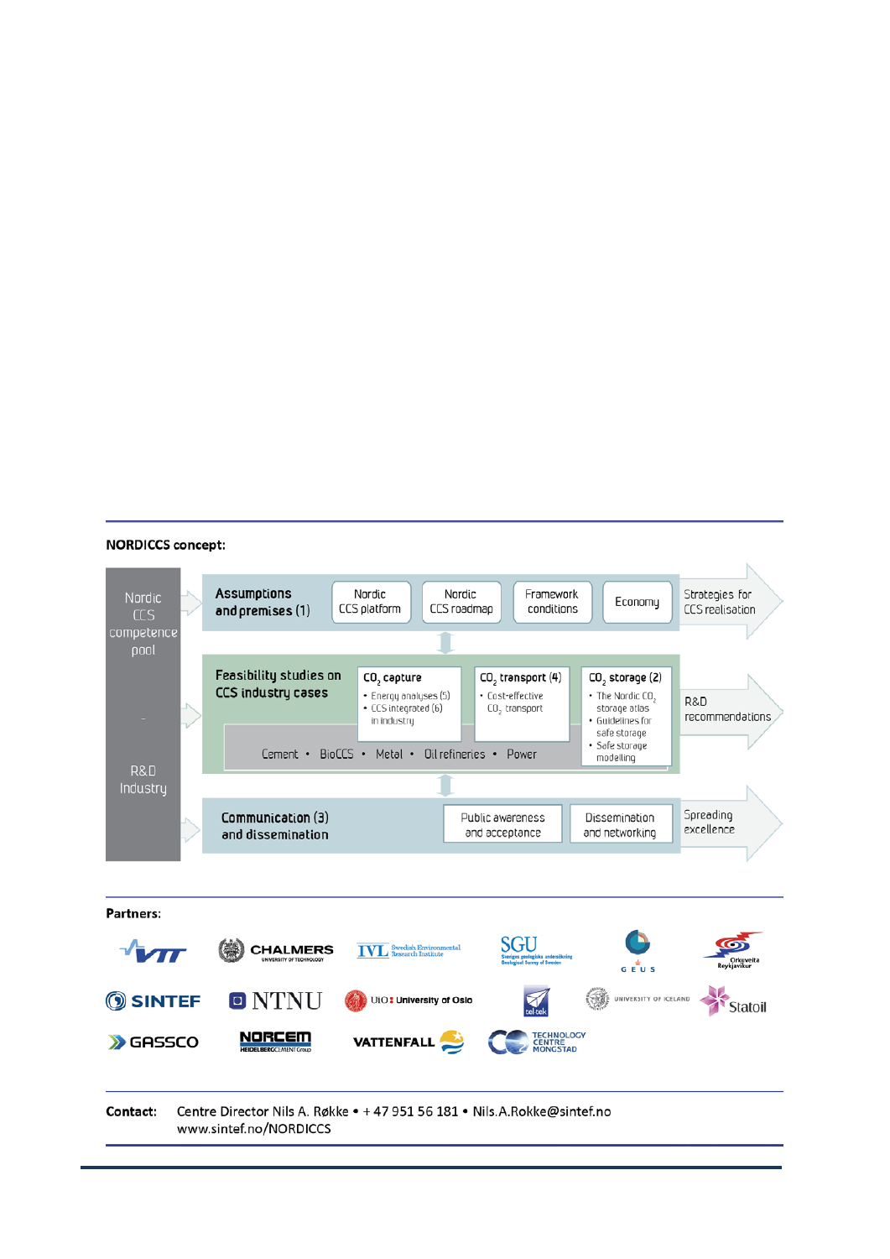#### **NORDICCS concept:**

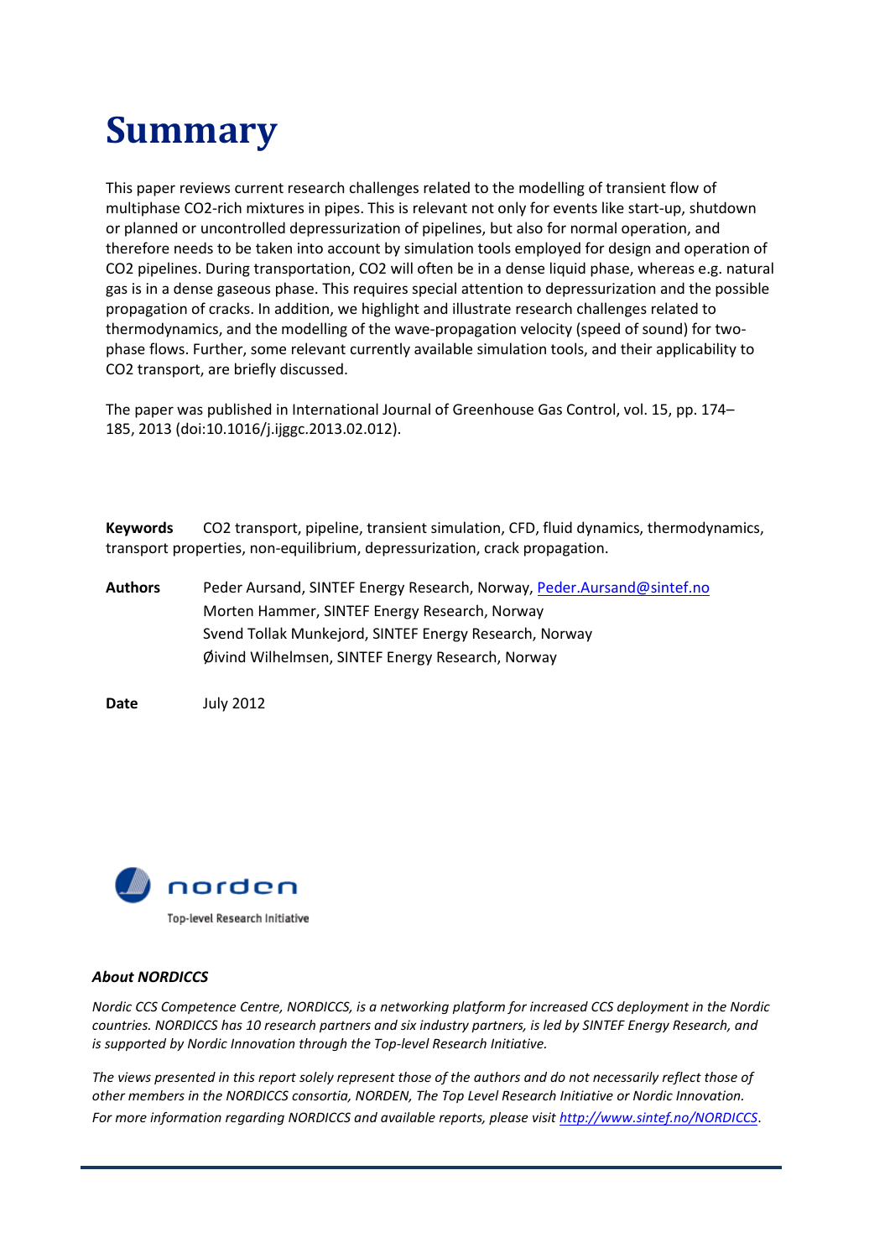## **Summary**

This paper reviews current research challenges related to the modelling of transient flow of multiphase CO2-rich mixtures in pipes. This is relevant not only for events like start-up, shutdown or planned or uncontrolled depressurization of pipelines, but also for normal operation, and therefore needs to be taken into account by simulation tools employed for design and operation of CO2 pipelines. During transportation, CO2 will often be in a dense liquid phase, whereas e.g. natural gas is in a dense gaseous phase. This requires special attention to depressurization and the possible propagation of cracks. In addition, we highlight and illustrate research challenges related to thermodynamics, and the modelling of the wave-propagation velocity (speed of sound) for twophase flows. Further, some relevant currently available simulation tools, and their applicability to CO2 transport, are briefly discussed.

The paper was published in International Journal of Greenhouse Gas Control, vol. 15, pp. 174– 185, 2013 (doi:10.1016/j.ijggc.2013.02.012).

**Keywords** CO2 transport, pipeline, transient simulation, CFD, fluid dynamics, thermodynamics, transport properties, non-equilibrium, depressurization, crack propagation.

**Authors** Peder Aursand, SINTEF Energy Research, Norway[, Peder.Aursand@sintef.no](mailto:Peder.Aursand@sintef.no) Morten Hammer, SINTEF Energy Research, Norway Svend Tollak Munkejord, SINTEF Energy Research, Norway Øivind Wilhelmsen, SINTEF Energy Research, Norway

**Date** July 2012



#### *About NORDICCS*

*Nordic CCS Competence Centre, NORDICCS, is a networking platform for increased CCS deployment in the Nordic countries. NORDICCS has 10 research partners and six industry partners, is led by SINTEF Energy Research, and is supported by Nordic Innovation through the Top-level Research Initiative.*

The views presented in this report solely represent those of the authors and do not necessarily reflect those of *other members in the NORDICCS consortia, NORDEN, The Top Level Research Initiative or Nordic Innovation. For more information regarding NORDICCS and available reports, please visi[t http://www.sintef.no/NORDICCS](http://www.sintef.no/NORDICCS)*.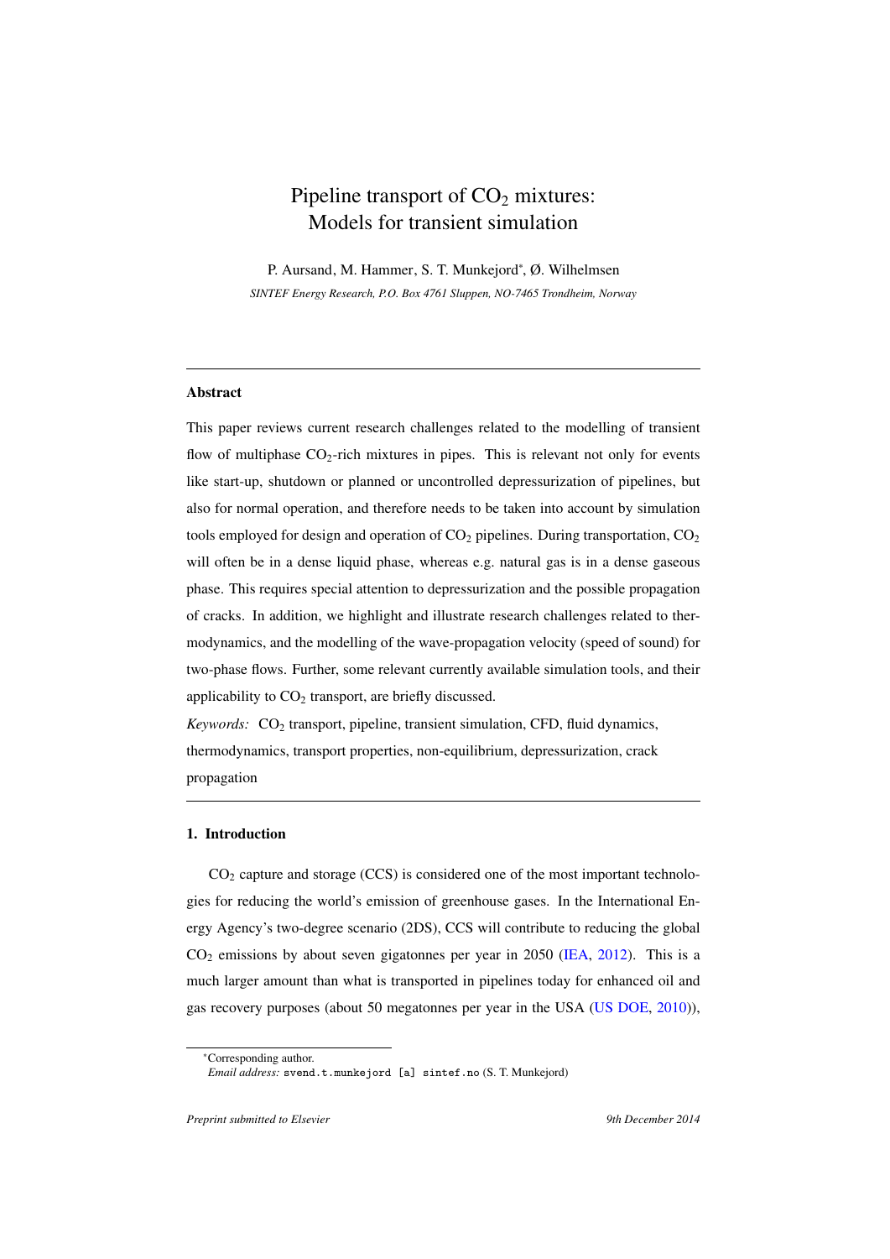### Pipeline transport of  $CO<sub>2</sub>$  mixtures: Models for transient simulation

P. Aursand, M. Hammer, S. T. Munkejord<sup>∗</sup> , Ø. Wilhelmsen *SINTEF Energy Research, P.O. Box 4761 Sluppen, NO-7465 Trondheim, Norway*

#### **Abstract**

This paper reviews current research challenges related to the modelling of transient flow of multiphase  $CO_2$ -rich mixtures in pipes. This is relevant not only for events like start-up, shutdown or planned or uncontrolled depressurization of pipelines, but also for normal operation, and therefore needs to be taken into account by simulation tools employed for design and operation of  $CO<sub>2</sub>$  pipelines. During transportation,  $CO<sub>2</sub>$ will often be in a dense liquid phase, whereas e.g. natural gas is in a dense gaseous phase. This requires special attention to depressurization and the possible propagation of cracks. In addition, we highlight and illustrate research challenges related to thermodynamics, and the modelling of the wave-propagation velocity (speed of sound) for two-phase flows. Further, some relevant currently available simulation tools, and their applicability to  $CO<sub>2</sub>$  transport, are briefly discussed.

*Keywords:* CO<sub>2</sub> transport, pipeline, transient simulation, CFD, fluid dynamics, thermodynamics, transport properties, non-equilibrium, depressurization, crack propagation

#### 1. Introduction

 $CO<sub>2</sub>$  capture and storage (CCS) is considered one of the most important technologies for reducing the world's emission of greenhouse gases. In the International Energy Agency's two-degree scenario (2DS), CCS will contribute to reducing the global CO<sup>2</sup> emissions by about seven gigatonnes per year in 2050 (IEA, 2012). This is a much larger amount than what is transported in pipelines today for enhanced oil and gas recovery purposes (about 50 megatonnes per year in the USA (US DOE, 2010)),

<sup>∗</sup>Corresponding author.

*Email address:* svend.t.munkejord [a] sintef.no (S. T. Munkejord)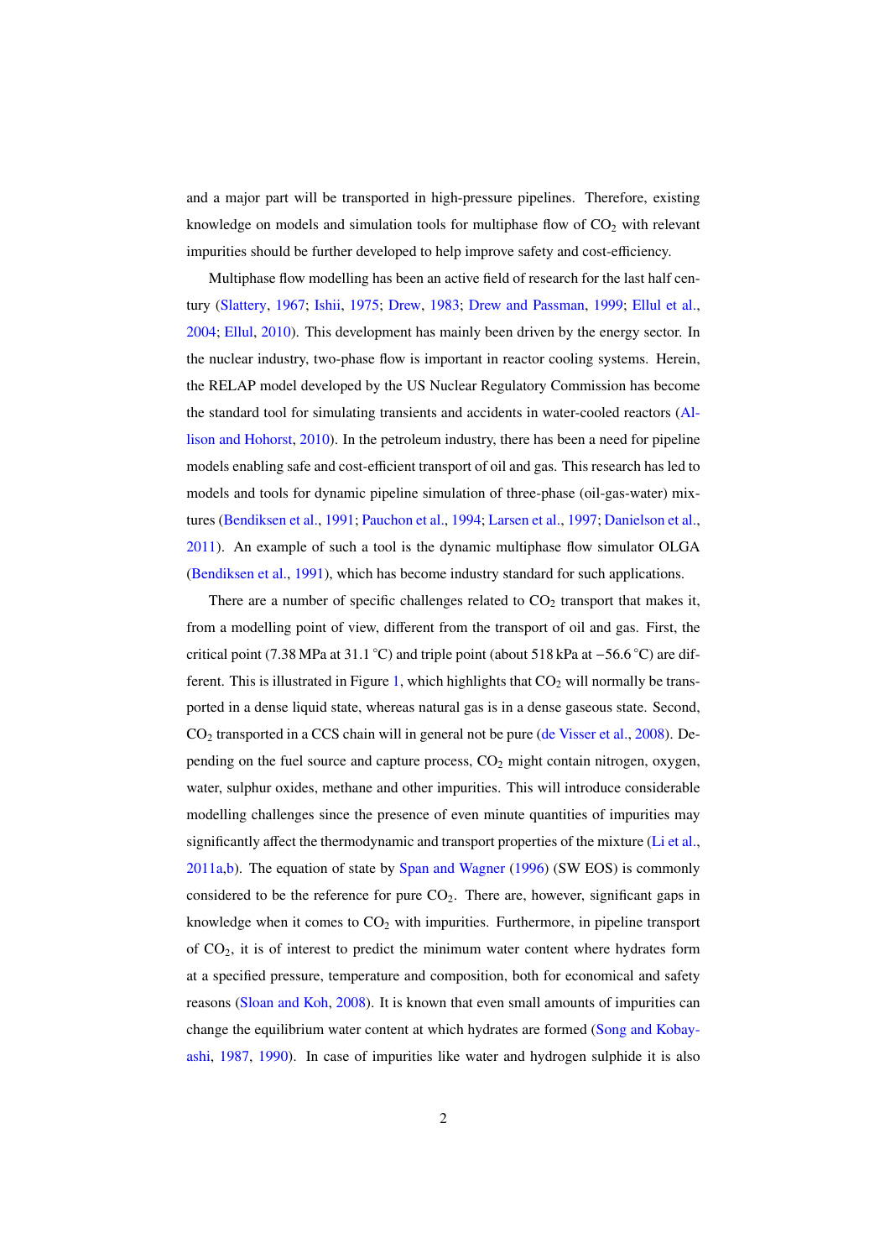and a major part will be transported in high-pressure pipelines. Therefore, existing knowledge on models and simulation tools for multiphase flow of  $CO<sub>2</sub>$  with relevant impurities should be further developed to help improve safety and cost-efficiency.

Multiphase flow modelling has been an active field of research for the last half century (Slattery, 1967; Ishii, 1975; Drew, 1983; Drew and Passman, 1999; Ellul et al., 2004; Ellul, 2010). This development has mainly been driven by the energy sector. In the nuclear industry, two-phase flow is important in reactor cooling systems. Herein, the RELAP model developed by the US Nuclear Regulatory Commission has become the standard tool for simulating transients and accidents in water-cooled reactors (Allison and Hohorst, 2010). In the petroleum industry, there has been a need for pipeline models enabling safe and cost-efficient transport of oil and gas. This research has led to models and tools for dynamic pipeline simulation of three-phase (oil-gas-water) mixtures (Bendiksen et al., 1991; Pauchon et al., 1994; Larsen et al., 1997; Danielson et al., 2011). An example of such a tool is the dynamic multiphase flow simulator OLGA (Bendiksen et al., 1991), which has become industry standard for such applications.

There are a number of specific challenges related to  $CO<sub>2</sub>$  transport that makes it, from a modelling point of view, different from the transport of oil and gas. First, the critical point (7.38 MPa at 31.1 ◦C) and triple point (about 518 kPa at −56.6 ◦C) are different. This is illustrated in Figure 1, which highlights that  $CO<sub>2</sub>$  will normally be transported in a dense liquid state, whereas natural gas is in a dense gaseous state. Second,  $CO<sub>2</sub>$  transported in a CCS chain will in general not be pure (de Visser et al., 2008). Depending on the fuel source and capture process,  $CO<sub>2</sub>$  might contain nitrogen, oxygen, water, sulphur oxides, methane and other impurities. This will introduce considerable modelling challenges since the presence of even minute quantities of impurities may significantly affect the thermodynamic and transport properties of the mixture (Li et al.,  $2011a$ ,b). The equation of state by Span and Wagner (1996) (SW EOS) is commonly considered to be the reference for pure  $CO<sub>2</sub>$ . There are, however, significant gaps in knowledge when it comes to  $CO<sub>2</sub>$  with impurities. Furthermore, in pipeline transport of  $CO<sub>2</sub>$ , it is of interest to predict the minimum water content where hydrates form at a specified pressure, temperature and composition, both for economical and safety reasons (Sloan and Koh, 2008). It is known that even small amounts of impurities can change the equilibrium water content at which hydrates are formed (Song and Kobayashi, 1987, 1990). In case of impurities like water and hydrogen sulphide it is also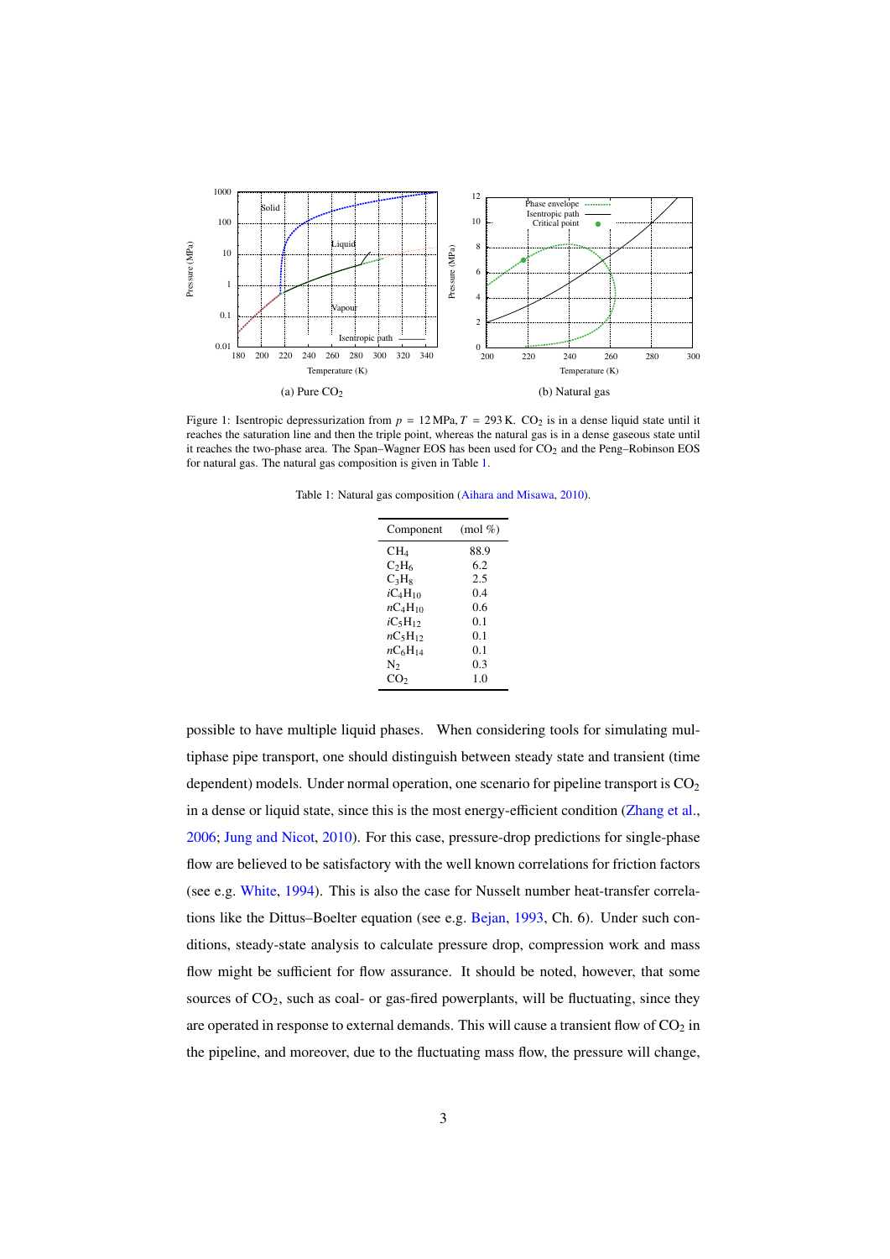

Figure 1: Isentropic depressurization from  $p = 12 \text{ MPa}$ ,  $T = 293 \text{ K}$ . CO<sub>2</sub> is in a dense liquid state until it reaches the saturation line and then the triple point, whereas the natural gas is in a dense gaseous state until it reaches the two-phase area. The Span–Wagner EOS has been used for  $CO<sub>2</sub>$  and the Peng–Robinson EOS for natural gas. The natural gas composition is given in Table 1.

Table 1: Natural gas composition (Aihara and Misawa, 2010).

| Component    | $(mod \% )$ |
|--------------|-------------|
| $CH_4$       | 88.9        |
| $C_2H_6$     | 6.2         |
| $C_3H_8$     | 2.5         |
| $iC_4H_{10}$ | 0.4         |
| $nC_4H_{10}$ | 0.6         |
| $iC_5H_{12}$ | 0.1         |
| $nC_5H_{12}$ | 0.1         |
| $nC_6H_{14}$ | 0.1         |
| N2           | 0.3         |
| $\rm{CO}_2$  | 1.0         |

possible to have multiple liquid phases. When considering tools for simulating multiphase pipe transport, one should distinguish between steady state and transient (time dependent) models. Under normal operation, one scenario for pipeline transport is  $CO<sub>2</sub>$ in a dense or liquid state, since this is the most energy-efficient condition (Zhang et al., 2006; Jung and Nicot, 2010). For this case, pressure-drop predictions for single-phase flow are believed to be satisfactory with the well known correlations for friction factors (see e.g. White, 1994). This is also the case for Nusselt number heat-transfer correlations like the Dittus–Boelter equation (see e.g. Bejan, 1993, Ch. 6). Under such conditions, steady-state analysis to calculate pressure drop, compression work and mass flow might be sufficient for flow assurance. It should be noted, however, that some sources of  $CO<sub>2</sub>$ , such as coal- or gas-fired powerplants, will be fluctuating, since they are operated in response to external demands. This will cause a transient flow of  $CO<sub>2</sub>$  in the pipeline, and moreover, due to the fluctuating mass flow, the pressure will change,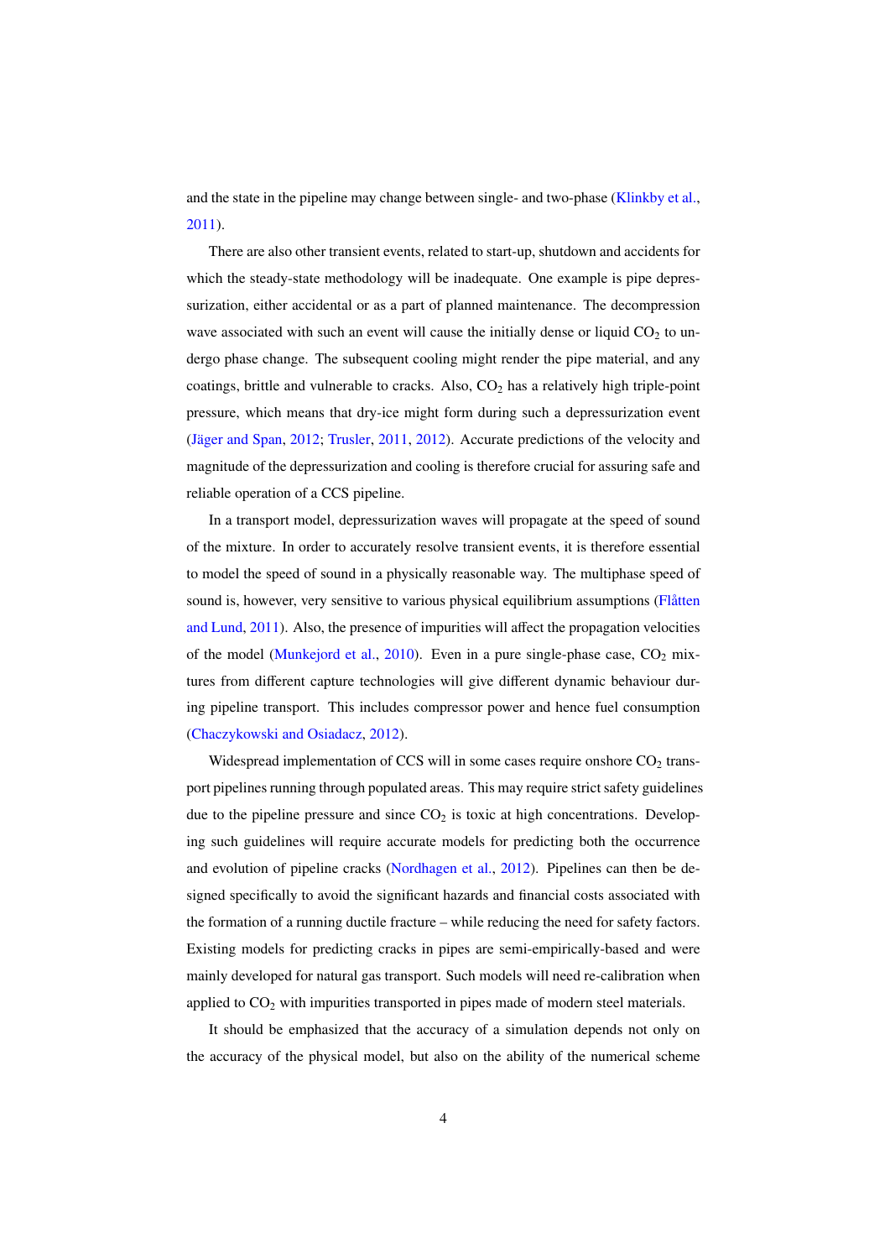and the state in the pipeline may change between single- and two-phase (Klinkby et al., 2011).

There are also other transient events, related to start-up, shutdown and accidents for which the steady-state methodology will be inadequate. One example is pipe depressurization, either accidental or as a part of planned maintenance. The decompression wave associated with such an event will cause the initially dense or liquid  $CO<sub>2</sub>$  to undergo phase change. The subsequent cooling might render the pipe material, and any coatings, brittle and vulnerable to cracks. Also,  $CO<sub>2</sub>$  has a relatively high triple-point pressure, which means that dry-ice might form during such a depressurization event (Jäger and Span, 2012; Trusler, 2011, 2012). Accurate predictions of the velocity and magnitude of the depressurization and cooling is therefore crucial for assuring safe and reliable operation of a CCS pipeline.

In a transport model, depressurization waves will propagate at the speed of sound of the mixture. In order to accurately resolve transient events, it is therefore essential to model the speed of sound in a physically reasonable way. The multiphase speed of sound is, however, very sensitive to various physical equilibrium assumptions (Flåtten and Lund, 2011). Also, the presence of impurities will affect the propagation velocities of the model (Munkejord et al., 2010). Even in a pure single-phase case,  $CO_2$  mixtures from different capture technologies will give different dynamic behaviour during pipeline transport. This includes compressor power and hence fuel consumption (Chaczykowski and Osiadacz, 2012).

Widespread implementation of CCS will in some cases require onshore  $CO<sub>2</sub>$  transport pipelines running through populated areas. This may require strict safety guidelines due to the pipeline pressure and since  $CO<sub>2</sub>$  is toxic at high concentrations. Developing such guidelines will require accurate models for predicting both the occurrence and evolution of pipeline cracks (Nordhagen et al., 2012). Pipelines can then be designed specifically to avoid the significant hazards and financial costs associated with the formation of a running ductile fracture – while reducing the need for safety factors. Existing models for predicting cracks in pipes are semi-empirically-based and were mainly developed for natural gas transport. Such models will need re-calibration when applied to  $CO<sub>2</sub>$  with impurities transported in pipes made of modern steel materials.

It should be emphasized that the accuracy of a simulation depends not only on the accuracy of the physical model, but also on the ability of the numerical scheme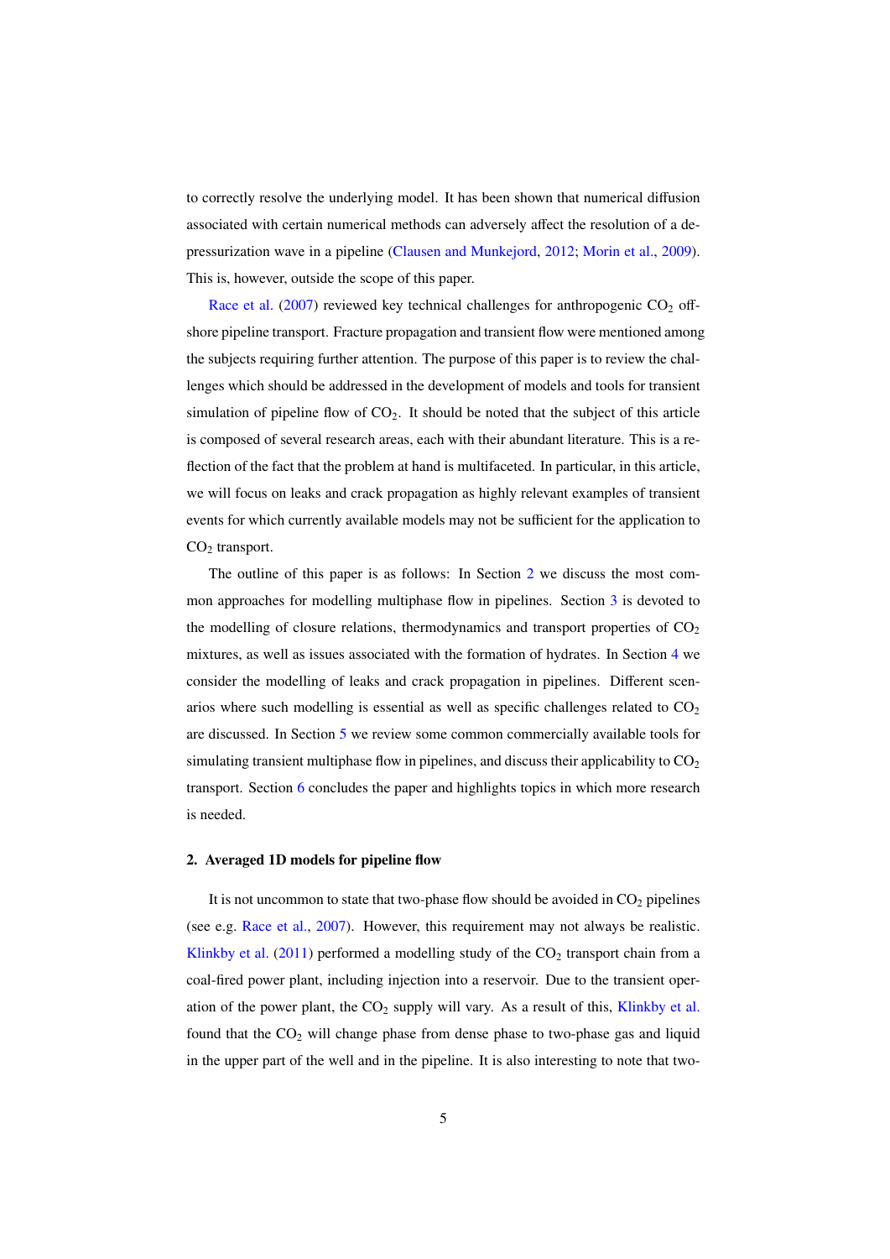to correctly resolve the underlying model. It has been shown that numerical diffusion associated with certain numerical methods can adversely affect the resolution of a depressurization wave in a pipeline (Clausen and Munkejord, 2012; Morin et al., 2009). This is, however, outside the scope of this paper.

Race et al. (2007) reviewed key technical challenges for anthropogenic  $CO<sub>2</sub>$  offshore pipeline transport. Fracture propagation and transient flow were mentioned among the subjects requiring further attention. The purpose of this paper is to review the challenges which should be addressed in the development of models and tools for transient simulation of pipeline flow of  $CO<sub>2</sub>$ . It should be noted that the subject of this article is composed of several research areas, each with their abundant literature. This is a reflection of the fact that the problem at hand is multifaceted. In particular, in this article, we will focus on leaks and crack propagation as highly relevant examples of transient events for which currently available models may not be sufficient for the application to  $CO<sub>2</sub>$  transport.

The outline of this paper is as follows: In Section 2 we discuss the most common approaches for modelling multiphase flow in pipelines. Section 3 is devoted to the modelling of closure relations, thermodynamics and transport properties of  $CO<sub>2</sub>$ mixtures, as well as issues associated with the formation of hydrates. In Section 4 we consider the modelling of leaks and crack propagation in pipelines. Different scenarios where such modelling is essential as well as specific challenges related to  $CO<sub>2</sub>$ are discussed. In Section 5 we review some common commercially available tools for simulating transient multiphase flow in pipelines, and discuss their applicability to  $CO<sub>2</sub>$ transport. Section 6 concludes the paper and highlights topics in which more research is needed.

#### 2. Averaged 1D models for pipeline flow

It is not uncommon to state that two-phase flow should be avoided in  $CO<sub>2</sub>$  pipelines (see e.g. Race et al., 2007). However, this requirement may not always be realistic. Klinkby et al. (2011) performed a modelling study of the  $CO<sub>2</sub>$  transport chain from a coal-fired power plant, including injection into a reservoir. Due to the transient operation of the power plant, the  $CO<sub>2</sub>$  supply will vary. As a result of this, Klinkby et al. found that the  $CO<sub>2</sub>$  will change phase from dense phase to two-phase gas and liquid in the upper part of the well and in the pipeline. It is also interesting to note that two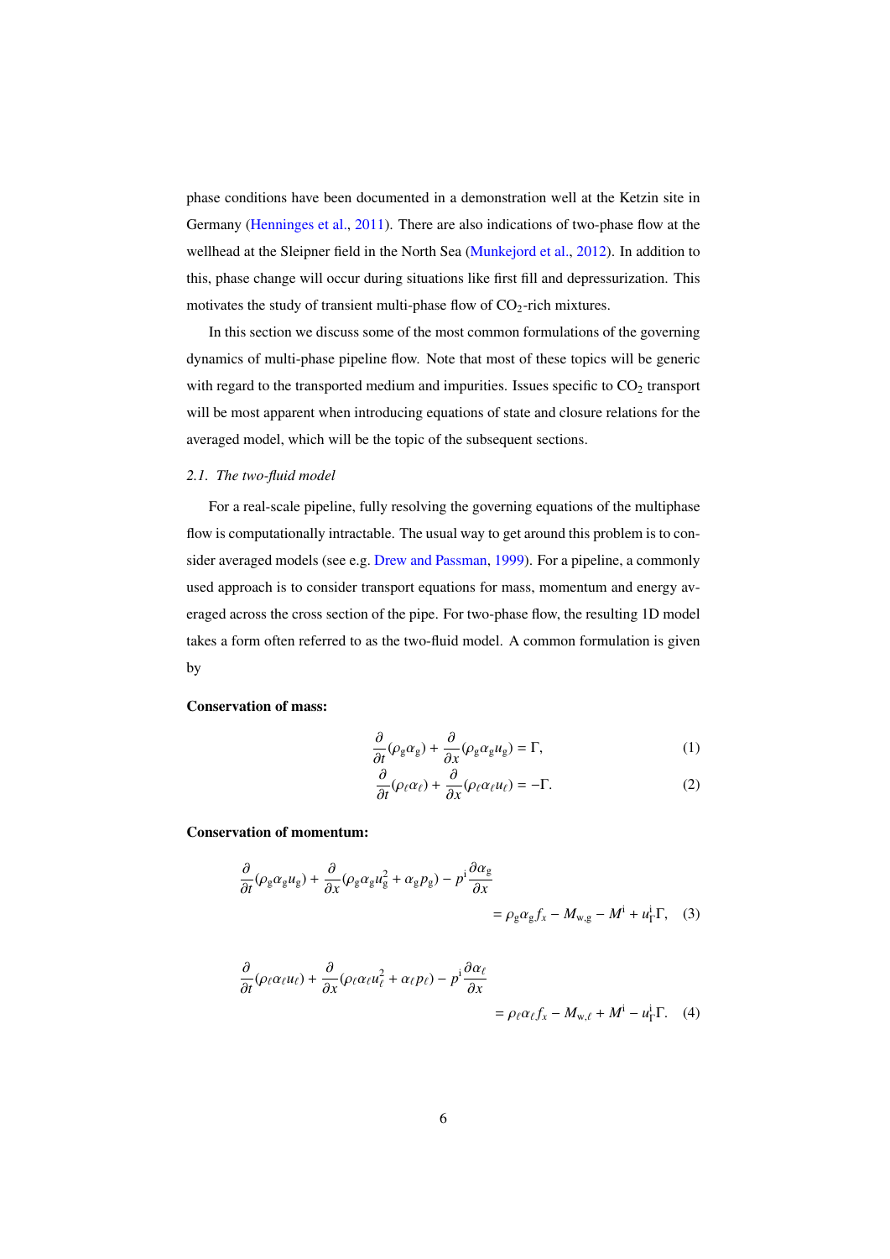phase conditions have been documented in a demonstration well at the Ketzin site in Germany (Henninges et al., 2011). There are also indications of two-phase flow at the wellhead at the Sleipner field in the North Sea (Munkejord et al., 2012). In addition to this, phase change will occur during situations like first fill and depressurization. This motivates the study of transient multi-phase flow of  $CO<sub>2</sub>$ -rich mixtures.

In this section we discuss some of the most common formulations of the governing dynamics of multi-phase pipeline flow. Note that most of these topics will be generic with regard to the transported medium and impurities. Issues specific to  $CO<sub>2</sub>$  transport will be most apparent when introducing equations of state and closure relations for the averaged model, which will be the topic of the subsequent sections.

#### *2.1. The two-fluid model*

For a real-scale pipeline, fully resolving the governing equations of the multiphase flow is computationally intractable. The usual way to get around this problem is to consider averaged models (see e.g. Drew and Passman, 1999). For a pipeline, a commonly used approach is to consider transport equations for mass, momentum and energy averaged across the cross section of the pipe. For two-phase flow, the resulting 1D model takes a form often referred to as the two-fluid model. A common formulation is given by

#### Conservation of mass:

$$
\frac{\partial}{\partial t}(\rho_{g}\alpha_{g}) + \frac{\partial}{\partial x}(\rho_{g}\alpha_{g}u_{g}) = \Gamma, \tag{1}
$$

$$
\frac{\partial}{\partial t}(\rho_{\ell}\alpha_{\ell}) + \frac{\partial}{\partial x}(\rho_{\ell}\alpha_{\ell}u_{\ell}) = -\Gamma.
$$
 (2)

Conservation of momentum:

$$
\frac{\partial}{\partial t}(\rho_{g}\alpha_{g}u_{g}) + \frac{\partial}{\partial x}(\rho_{g}\alpha_{g}u_{g}^{2} + \alpha_{g}p_{g}) - p^{i}\frac{\partial\alpha_{g}}{\partial x} \n= \rho_{g}\alpha_{g}f_{x} - M_{w,g} - M^{i} + u_{\Gamma}^{i}\Gamma, \quad (3)
$$

$$
\frac{\partial}{\partial t}(\rho_{\ell}\alpha_{\ell}u_{\ell}) + \frac{\partial}{\partial x}(\rho_{\ell}\alpha_{\ell}u_{\ell}^2 + \alpha_{\ell}p_{\ell}) - p^i \frac{\partial \alpha_{\ell}}{\partial x} \n= \rho_{\ell}\alpha_{\ell}f_x - M_{w,\ell} + M^i - u_{\Gamma}^i \Gamma. \tag{4}
$$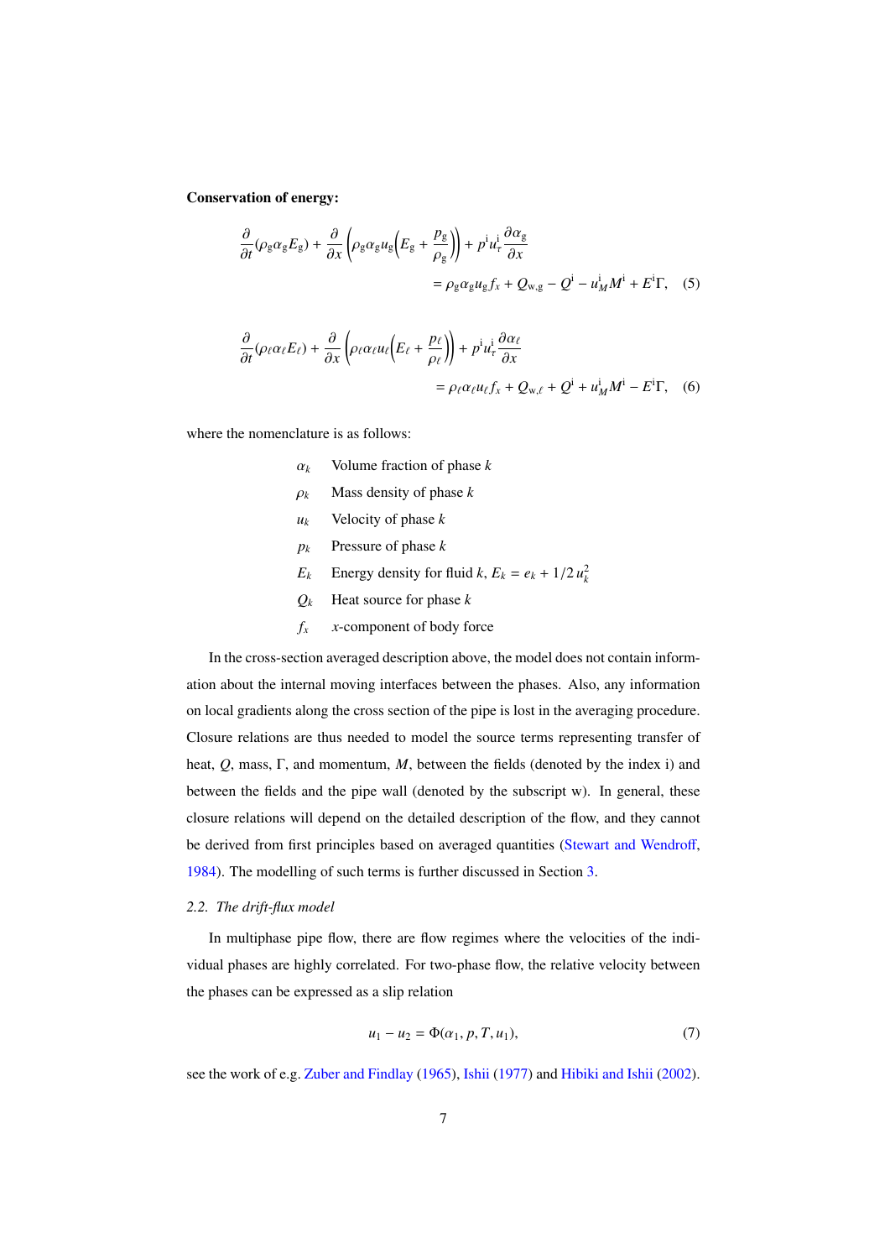Conservation of energy:

$$
\frac{\partial}{\partial t}(\rho_{g}\alpha_{g}E_{g}) + \frac{\partial}{\partial x}\left(\rho_{g}\alpha_{g}u_{g}\left(E_{g} + \frac{p_{g}}{\rho_{g}}\right)\right) + p^{i}u_{\tau}^{i}\frac{\partial\alpha_{g}}{\partial x} \n= \rho_{g}\alpha_{g}u_{g}f_{x} + Q_{w,g} - Q^{i} - u_{M}^{i}M^{i} + E^{i}\Gamma, \quad (5)
$$

$$
\frac{\partial}{\partial t}(\rho_{\ell}\alpha_{\ell}E_{\ell}) + \frac{\partial}{\partial x}\left(\rho_{\ell}\alpha_{\ell}u_{\ell}\left(E_{\ell} + \frac{p_{\ell}}{\rho_{\ell}}\right)\right) + p^{i}u_{\tau}^{i}\frac{\partial\alpha_{\ell}}{\partial x} \n= \rho_{\ell}\alpha_{\ell}u_{\ell}f_{x} + Q_{w,\ell} + Q^{i} + u_{M}^{i}M^{i} - E^{i}\Gamma, \quad (6)
$$

where the nomenclature is as follows:

- α*<sup>k</sup>* Volume fraction of phase *k*
- $\rho_k$  Mass density of phase *k*
- *u<sup>k</sup>* Velocity of phase *k*
- *p<sup>k</sup>* Pressure of phase *k*
- *E*<sub>*k*</sub> Energy density for fluid *k*,  $E_k = e_k + 1/2 u_k^2$
- $Q_k$  Heat source for phase  $k$
- $f_x$  *x*-component of body force

In the cross-section averaged description above, the model does not contain information about the internal moving interfaces between the phases. Also, any information on local gradients along the cross section of the pipe is lost in the averaging procedure. Closure relations are thus needed to model the source terms representing transfer of heat, *Q*, mass, Γ, and momentum, *M*, between the fields (denoted by the index i) and between the fields and the pipe wall (denoted by the subscript w). In general, these closure relations will depend on the detailed description of the flow, and they cannot be derived from first principles based on averaged quantities (Stewart and Wendroff, 1984). The modelling of such terms is further discussed in Section 3.

#### *2.2. The drift-flux model*

In multiphase pipe flow, there are flow regimes where the velocities of the individual phases are highly correlated. For two-phase flow, the relative velocity between the phases can be expressed as a slip relation

$$
u_1 - u_2 = \Phi(\alpha_1, p, T, u_1),
$$
\n(7)

see the work of e.g. Zuber and Findlay (1965), Ishii (1977) and Hibiki and Ishii (2002).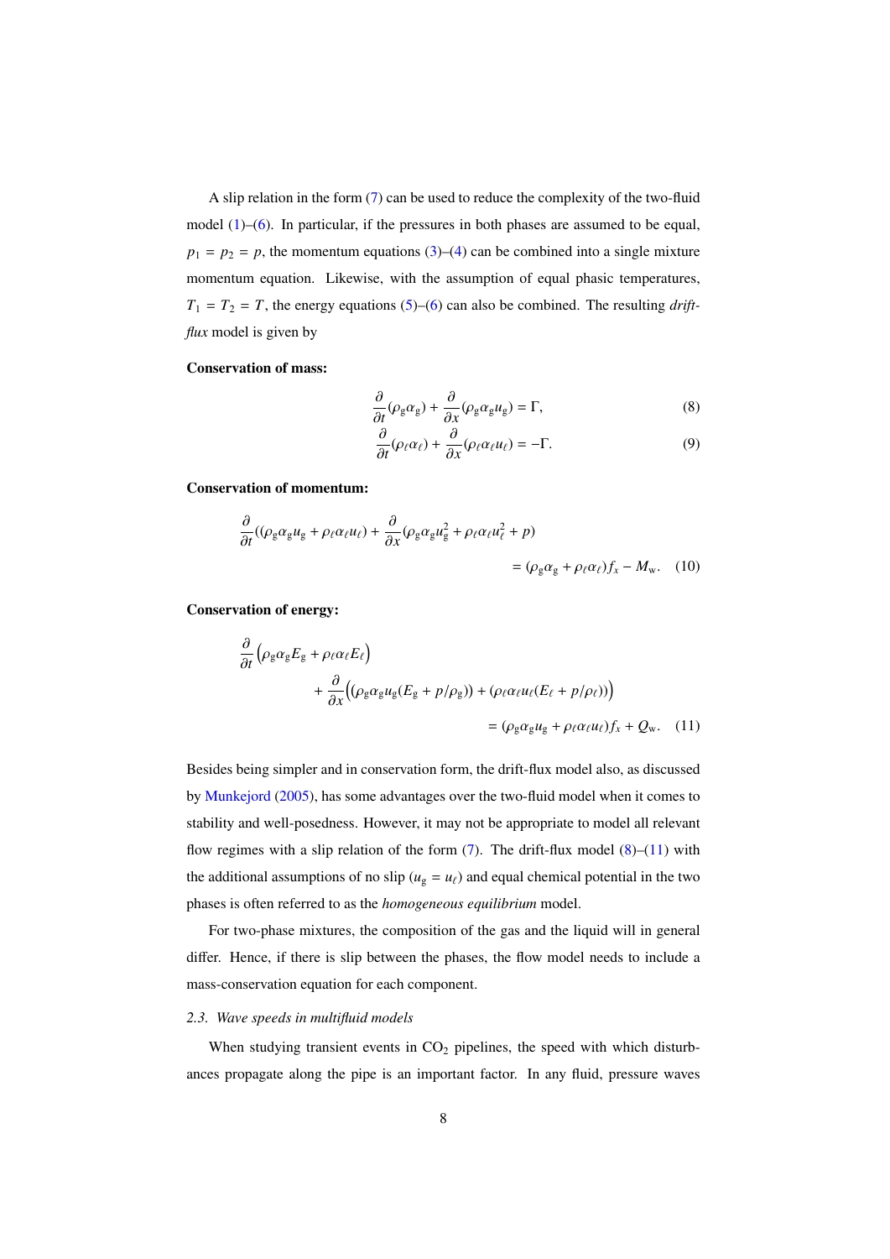A slip relation in the form (7) can be used to reduce the complexity of the two-fluid model  $(1)$ – $(6)$ . In particular, if the pressures in both phases are assumed to be equal,  $p_1 = p_2 = p$ , the momentum equations (3)–(4) can be combined into a single mixture momentum equation. Likewise, with the assumption of equal phasic temperatures,  $T_1 = T_2 = T$ , the energy equations (5)–(6) can also be combined. The resulting *driftflux* model is given by

#### Conservation of mass:

$$
\frac{\partial}{\partial t}(\rho_{g}\alpha_{g}) + \frac{\partial}{\partial x}(\rho_{g}\alpha_{g}u_{g}) = \Gamma, \tag{8}
$$

$$
\frac{\partial}{\partial t}(\rho_{\ell}\alpha_{\ell}) + \frac{\partial}{\partial x}(\rho_{\ell}\alpha_{\ell}u_{\ell}) = -\Gamma.
$$
 (9)

Conservation of momentum:

$$
\frac{\partial}{\partial t}((\rho_{g}\alpha_{g}u_{g} + \rho_{\ell}\alpha_{\ell}u_{\ell}) + \frac{\partial}{\partial x}(\rho_{g}\alpha_{g}u_{g}^{2} + \rho_{\ell}\alpha_{\ell}u_{\ell}^{2} + p) = (\rho_{g}\alpha_{g} + \rho_{\ell}\alpha_{\ell})f_{x} - M_{w}.
$$
 (10)

Conservation of energy:

∂

$$
\frac{\partial}{\partial t} \left( \rho_{g} \alpha_{g} E_{g} + \rho_{\ell} \alpha_{\ell} E_{\ell} \right)
$$
\n
$$
+ \frac{\partial}{\partial x} \left( \left( \rho_{g} \alpha_{g} u_{g} (E_{g} + p/\rho_{g}) \right) + \left( \rho_{\ell} \alpha_{\ell} u_{\ell} (E_{\ell} + p/\rho_{\ell}) \right) \right)
$$
\n
$$
= \left( \rho_{g} \alpha_{g} u_{g} + \rho_{\ell} \alpha_{\ell} u_{\ell} \right) f_{x} + Q_{w}. \quad (11)
$$

Besides being simpler and in conservation form, the drift-flux model also, as discussed by Munkejord (2005), has some advantages over the two-fluid model when it comes to stability and well-posedness. However, it may not be appropriate to model all relevant flow regimes with a slip relation of the form  $(7)$ . The drift-flux model  $(8)$ – $(11)$  with the additional assumptions of no slip ( $u<sub>g</sub> = u<sub>l</sub>$ ) and equal chemical potential in the two phases is often referred to as the *homogeneous equilibrium* model.

For two-phase mixtures, the composition of the gas and the liquid will in general differ. Hence, if there is slip between the phases, the flow model needs to include a mass-conservation equation for each component.

#### *2.3. Wave speeds in multifluid models*

When studying transient events in  $CO<sub>2</sub>$  pipelines, the speed with which disturbances propagate along the pipe is an important factor. In any fluid, pressure waves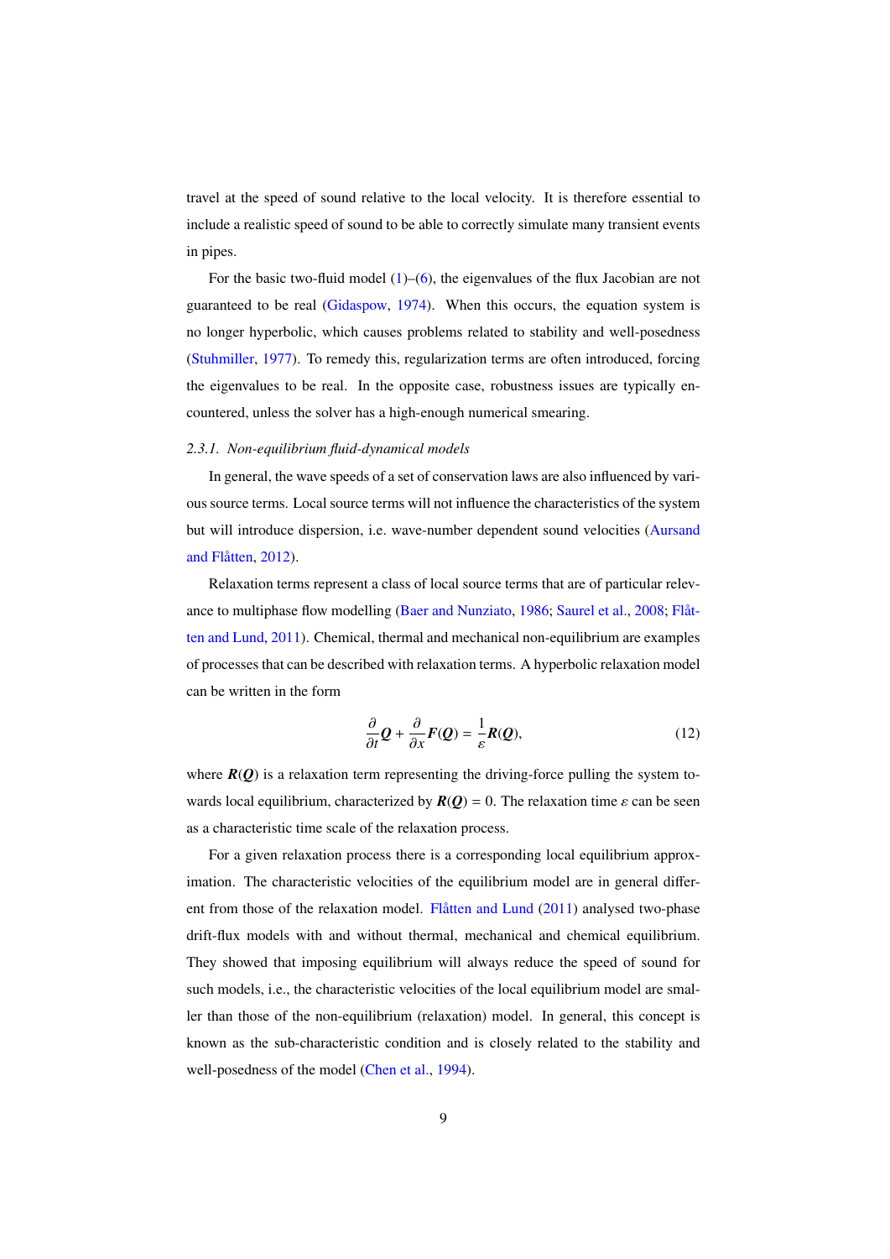travel at the speed of sound relative to the local velocity. It is therefore essential to include a realistic speed of sound to be able to correctly simulate many transient events in pipes.

For the basic two-fluid model  $(1)$ – $(6)$ , the eigenvalues of the flux Jacobian are not guaranteed to be real (Gidaspow, 1974). When this occurs, the equation system is no longer hyperbolic, which causes problems related to stability and well-posedness (Stuhmiller, 1977). To remedy this, regularization terms are often introduced, forcing the eigenvalues to be real. In the opposite case, robustness issues are typically encountered, unless the solver has a high-enough numerical smearing.

#### *2.3.1. Non-equilibrium fluid-dynamical models*

In general, the wave speeds of a set of conservation laws are also influenced by various source terms. Local source terms will not influence the characteristics of the system but will introduce dispersion, i.e. wave-number dependent sound velocities (Aursand and Flåtten, 2012).

Relaxation terms represent a class of local source terms that are of particular relevance to multiphase flow modelling (Baer and Nunziato, 1986; Saurel et al., 2008; Flåtten and Lund, 2011). Chemical, thermal and mechanical non-equilibrium are examples of processes that can be described with relaxation terms. A hyperbolic relaxation model can be written in the form

$$
\frac{\partial}{\partial t} \mathcal{Q} + \frac{\partial}{\partial x} F(\mathcal{Q}) = \frac{1}{\varepsilon} R(\mathcal{Q}),\tag{12}
$$

where  $R(Q)$  is a relaxation term representing the driving-force pulling the system towards local equilibrium, characterized by  $R(Q) = 0$ . The relaxation time  $\varepsilon$  can be seen as a characteristic time scale of the relaxation process.

For a given relaxation process there is a corresponding local equilibrium approximation. The characteristic velocities of the equilibrium model are in general different from those of the relaxation model. Flåtten and Lund (2011) analysed two-phase drift-flux models with and without thermal, mechanical and chemical equilibrium. They showed that imposing equilibrium will always reduce the speed of sound for such models, i.e., the characteristic velocities of the local equilibrium model are smaller than those of the non-equilibrium (relaxation) model. In general, this concept is known as the sub-characteristic condition and is closely related to the stability and well-posedness of the model (Chen et al., 1994).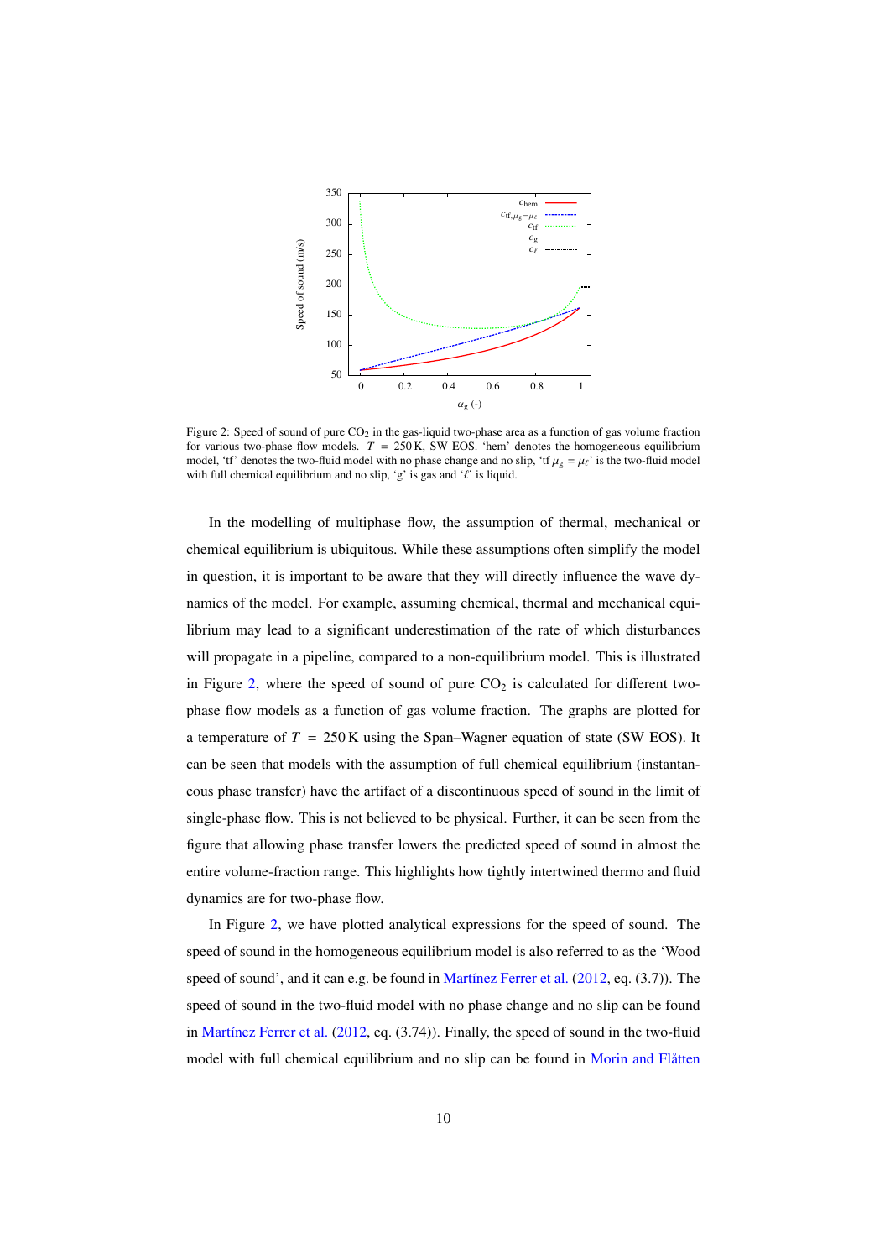

Figure 2: Speed of sound of pure  $CO<sub>2</sub>$  in the gas-liquid two-phase area as a function of gas volume fraction for various two-phase flow models.  $T = 250$  K, SW EOS. 'hem' denotes the homogeneous equilibrium model, 'tf' denotes the two-fluid model with no phase change and no slip, 'tf  $\mu_g = \mu_\ell$ ' is the two-fluid model with full chemical equilibrium and no slip, 'g' is gas and ' $\ell$ ' is liquid.

In the modelling of multiphase flow, the assumption of thermal, mechanical or chemical equilibrium is ubiquitous. While these assumptions often simplify the model in question, it is important to be aware that they will directly influence the wave dynamics of the model. For example, assuming chemical, thermal and mechanical equilibrium may lead to a significant underestimation of the rate of which disturbances will propagate in a pipeline, compared to a non-equilibrium model. This is illustrated in Figure 2, where the speed of sound of pure  $CO<sub>2</sub>$  is calculated for different twophase flow models as a function of gas volume fraction. The graphs are plotted for a temperature of  $T = 250$  K using the Span–Wagner equation of state (SW EOS). It can be seen that models with the assumption of full chemical equilibrium (instantaneous phase transfer) have the artifact of a discontinuous speed of sound in the limit of single-phase flow. This is not believed to be physical. Further, it can be seen from the figure that allowing phase transfer lowers the predicted speed of sound in almost the entire volume-fraction range. This highlights how tightly intertwined thermo and fluid dynamics are for two-phase flow.

In Figure 2, we have plotted analytical expressions for the speed of sound. The speed of sound in the homogeneous equilibrium model is also referred to as the 'Wood speed of sound', and it can e.g. be found in Martínez Ferrer et al. (2012, eq. (3.7)). The speed of sound in the two-fluid model with no phase change and no slip can be found in Martínez Ferrer et al. (2012, eq. (3.74)). Finally, the speed of sound in the two-fluid model with full chemical equilibrium and no slip can be found in Morin and Flåtten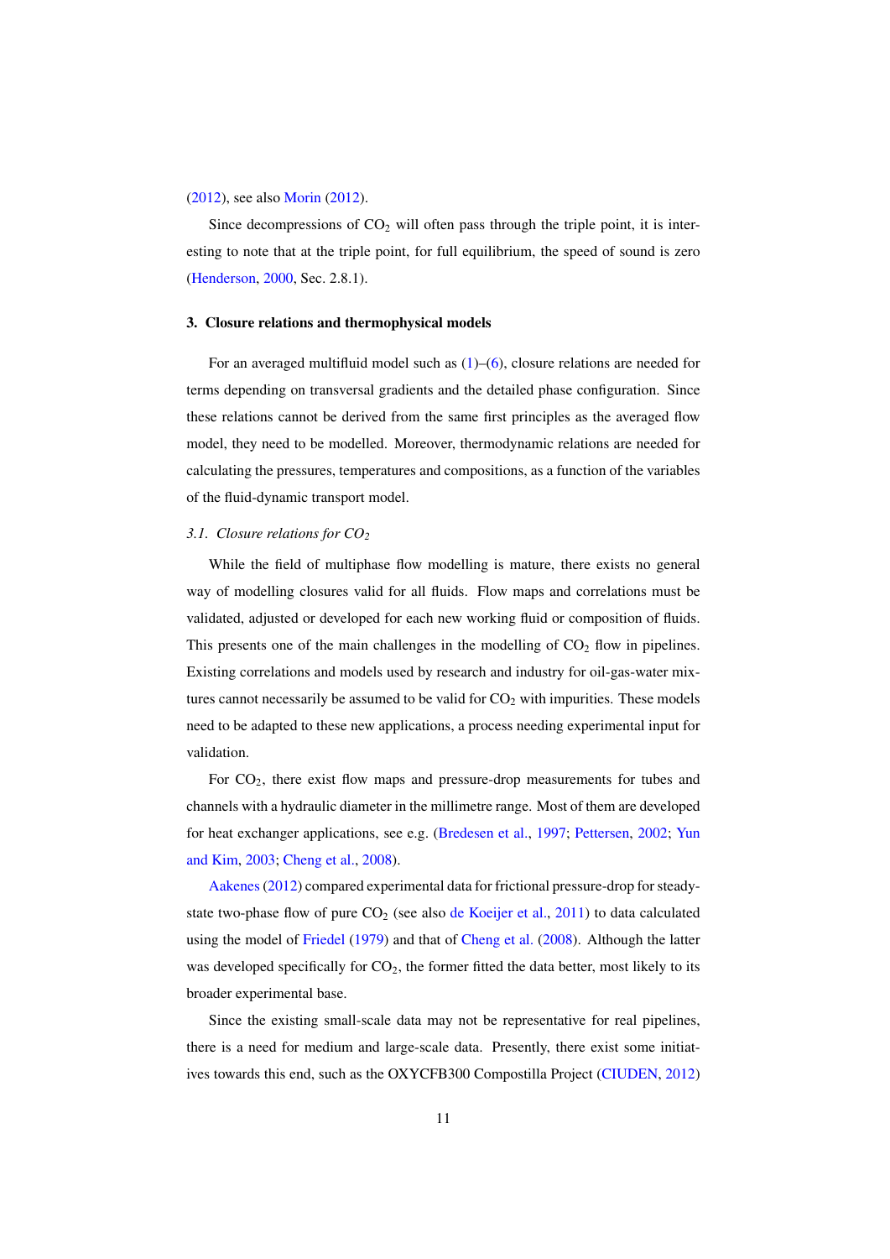(2012), see also Morin (2012).

Since decompressions of  $CO<sub>2</sub>$  will often pass through the triple point, it is interesting to note that at the triple point, for full equilibrium, the speed of sound is zero (Henderson, 2000, Sec. 2.8.1).

#### 3. Closure relations and thermophysical models

For an averaged multifluid model such as  $(1)$ – $(6)$ , closure relations are needed for terms depending on transversal gradients and the detailed phase configuration. Since these relations cannot be derived from the same first principles as the averaged flow model, they need to be modelled. Moreover, thermodynamic relations are needed for calculating the pressures, temperatures and compositions, as a function of the variables of the fluid-dynamic transport model.

#### *3.1. Closure relations for CO<sup>2</sup>*

While the field of multiphase flow modelling is mature, there exists no general way of modelling closures valid for all fluids. Flow maps and correlations must be validated, adjusted or developed for each new working fluid or composition of fluids. This presents one of the main challenges in the modelling of  $CO<sub>2</sub>$  flow in pipelines. Existing correlations and models used by research and industry for oil-gas-water mixtures cannot necessarily be assumed to be valid for  $CO<sub>2</sub>$  with impurities. These models need to be adapted to these new applications, a process needing experimental input for validation.

For  $CO<sub>2</sub>$ , there exist flow maps and pressure-drop measurements for tubes and channels with a hydraulic diameter in the millimetre range. Most of them are developed for heat exchanger applications, see e.g. (Bredesen et al., 1997; Pettersen, 2002; Yun and Kim, 2003; Cheng et al., 2008).

Aakenes(2012) compared experimental data for frictional pressure-drop for steadystate two-phase flow of pure  $CO<sub>2</sub>$  (see also de Koeijer et al., 2011) to data calculated using the model of Friedel (1979) and that of Cheng et al. (2008). Although the latter was developed specifically for  $CO<sub>2</sub>$ , the former fitted the data better, most likely to its broader experimental base.

Since the existing small-scale data may not be representative for real pipelines, there is a need for medium and large-scale data. Presently, there exist some initiatives towards this end, such as the OXYCFB300 Compostilla Project (CIUDEN, 2012)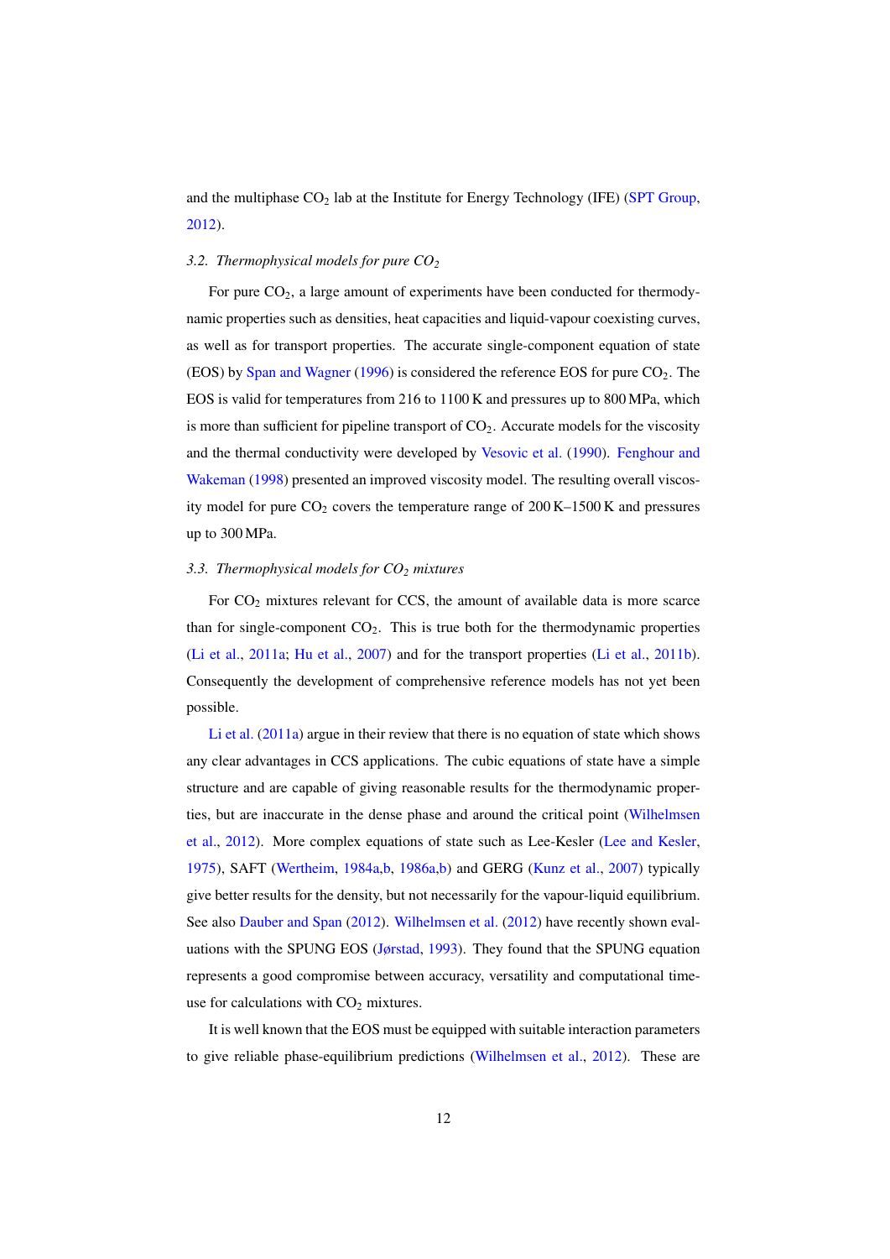and the multiphase  $CO<sub>2</sub>$  lab at the Institute for Energy Technology (IFE) (SPT Group, 2012).

#### *3.2. Thermophysical models for pure CO<sup>2</sup>*

For pure CO<sub>2</sub>, a large amount of experiments have been conducted for thermodynamic properties such as densities, heat capacities and liquid-vapour coexisting curves, as well as for transport properties. The accurate single-component equation of state (EOS) by Span and Wagner (1996) is considered the reference EOS for pure  $CO<sub>2</sub>$ . The EOS is valid for temperatures from 216 to 1100 K and pressures up to 800 MPa, which is more than sufficient for pipeline transport of  $CO<sub>2</sub>$ . Accurate models for the viscosity and the thermal conductivity were developed by Vesovic et al. (1990). Fenghour and Wakeman (1998) presented an improved viscosity model. The resulting overall viscosity model for pure  $CO_2$  covers the temperature range of  $200 K - 1500 K$  and pressures up to 300 MPa.

#### *3.3. Thermophysical models for CO<sup>2</sup> mixtures*

For  $CO<sub>2</sub>$  mixtures relevant for CCS, the amount of available data is more scarce than for single-component  $CO<sub>2</sub>$ . This is true both for the thermodynamic properties (Li et al., 2011a; Hu et al., 2007) and for the transport properties (Li et al., 2011b). Consequently the development of comprehensive reference models has not yet been possible.

Li et al. (2011a) argue in their review that there is no equation of state which shows any clear advantages in CCS applications. The cubic equations of state have a simple structure and are capable of giving reasonable results for the thermodynamic properties, but are inaccurate in the dense phase and around the critical point (Wilhelmsen et al., 2012). More complex equations of state such as Lee-Kesler (Lee and Kesler, 1975), SAFT (Wertheim, 1984a,b, 1986a,b) and GERG (Kunz et al., 2007) typically give better results for the density, but not necessarily for the vapour-liquid equilibrium. See also Dauber and Span (2012). Wilhelmsen et al. (2012) have recently shown evaluations with the SPUNG EOS (Jørstad, 1993). They found that the SPUNG equation represents a good compromise between accuracy, versatility and computational timeuse for calculations with  $CO<sub>2</sub>$  mixtures.

It is well known that the EOS must be equipped with suitable interaction parameters to give reliable phase-equilibrium predictions (Wilhelmsen et al., 2012). These are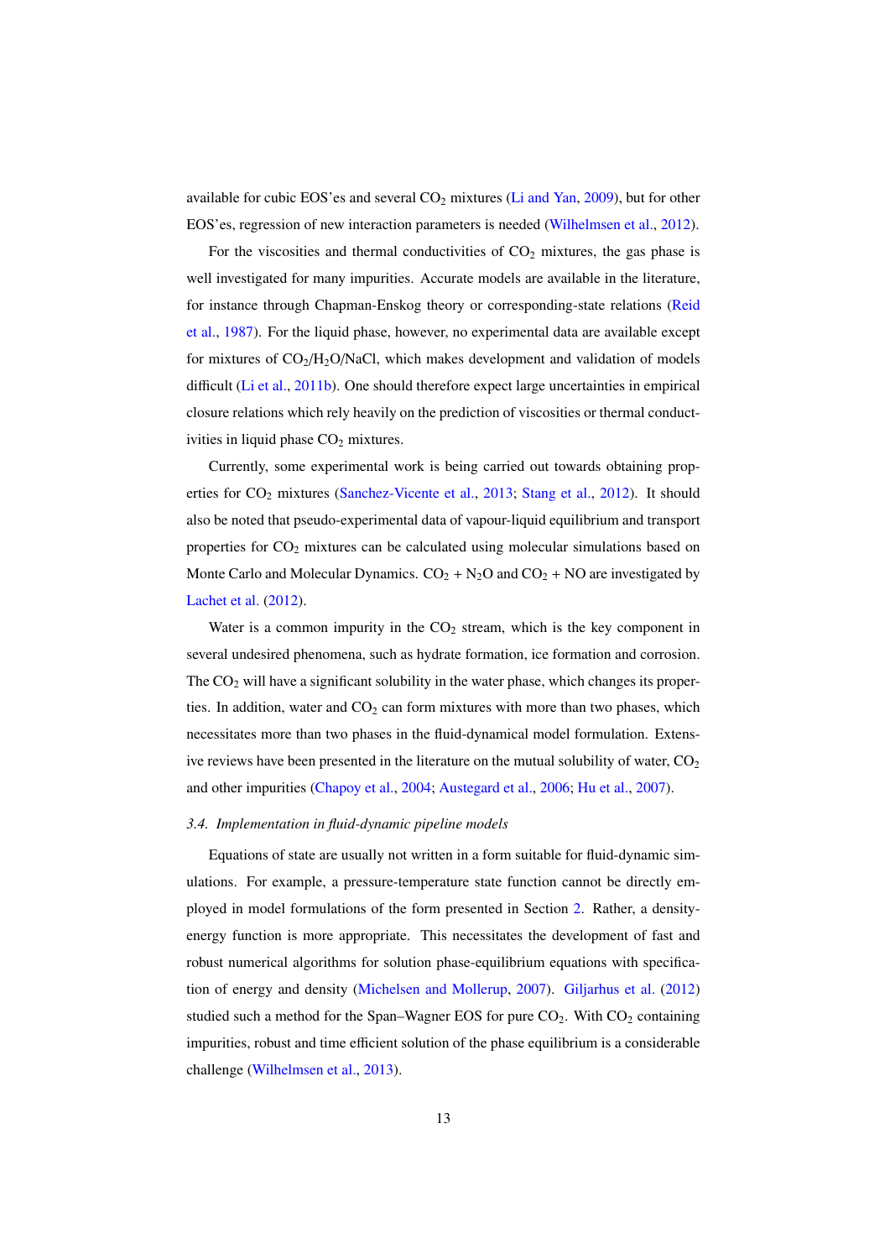available for cubic EOS'es and several  $CO<sub>2</sub>$  mixtures (Li and Yan, 2009), but for other EOS'es, regression of new interaction parameters is needed (Wilhelmsen et al., 2012).

For the viscosities and thermal conductivities of  $CO<sub>2</sub>$  mixtures, the gas phase is well investigated for many impurities. Accurate models are available in the literature, for instance through Chapman-Enskog theory or corresponding-state relations (Reid et al., 1987). For the liquid phase, however, no experimental data are available except for mixtures of  $CO<sub>2</sub>/H<sub>2</sub>O/NaCl$ , which makes development and validation of models difficult (Li et al., 2011b). One should therefore expect large uncertainties in empirical closure relations which rely heavily on the prediction of viscosities or thermal conductivities in liquid phase  $CO<sub>2</sub>$  mixtures.

Currently, some experimental work is being carried out towards obtaining properties for CO<sub>2</sub> mixtures (Sanchez-Vicente et al., 2013; Stang et al., 2012). It should also be noted that pseudo-experimental data of vapour-liquid equilibrium and transport properties for CO<sub>2</sub> mixtures can be calculated using molecular simulations based on Monte Carlo and Molecular Dynamics.  $CO_2 + N_2O$  and  $CO_2 + NO$  are investigated by Lachet et al. (2012).

Water is a common impurity in the  $CO<sub>2</sub>$  stream, which is the key component in several undesired phenomena, such as hydrate formation, ice formation and corrosion. The  $CO<sub>2</sub>$  will have a significant solubility in the water phase, which changes its properties. In addition, water and  $CO<sub>2</sub>$  can form mixtures with more than two phases, which necessitates more than two phases in the fluid-dynamical model formulation. Extensive reviews have been presented in the literature on the mutual solubility of water,  $CO<sub>2</sub>$ and other impurities (Chapoy et al., 2004; Austegard et al., 2006; Hu et al., 2007).

#### *3.4. Implementation in fluid-dynamic pipeline models*

Equations of state are usually not written in a form suitable for fluid-dynamic simulations. For example, a pressure-temperature state function cannot be directly employed in model formulations of the form presented in Section 2. Rather, a densityenergy function is more appropriate. This necessitates the development of fast and robust numerical algorithms for solution phase-equilibrium equations with specification of energy and density (Michelsen and Mollerup, 2007). Giljarhus et al. (2012) studied such a method for the Span–Wagner EOS for pure  $CO<sub>2</sub>$ . With  $CO<sub>2</sub>$  containing impurities, robust and time efficient solution of the phase equilibrium is a considerable challenge (Wilhelmsen et al., 2013).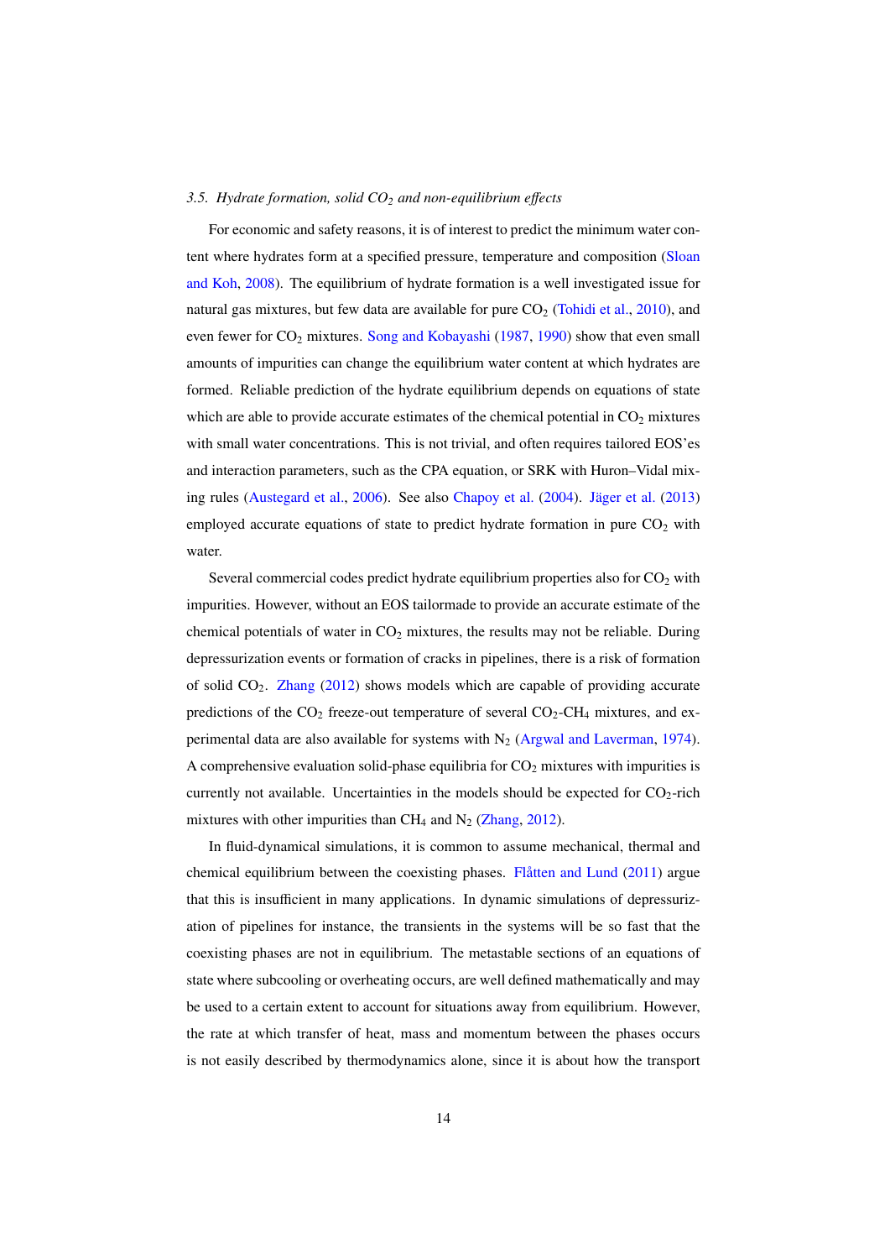#### *3.5. Hydrate formation, solid CO<sup>2</sup> and non-equilibrium e*ff*ects*

For economic and safety reasons, it is of interest to predict the minimum water content where hydrates form at a specified pressure, temperature and composition (Sloan and Koh, 2008). The equilibrium of hydrate formation is a well investigated issue for natural gas mixtures, but few data are available for pure  $CO<sub>2</sub>$  (Tohidi et al., 2010), and even fewer for CO<sub>2</sub> mixtures. Song and Kobayashi (1987, 1990) show that even small amounts of impurities can change the equilibrium water content at which hydrates are formed. Reliable prediction of the hydrate equilibrium depends on equations of state which are able to provide accurate estimates of the chemical potential in  $CO<sub>2</sub>$  mixtures with small water concentrations. This is not trivial, and often requires tailored EOS'es and interaction parameters, such as the CPA equation, or SRK with Huron–Vidal mixing rules (Austegard et al., 2006). See also Chapoy et al. (2004). Jäger et al. (2013) employed accurate equations of state to predict hydrate formation in pure  $CO<sub>2</sub>$  with water.

Several commercial codes predict hydrate equilibrium properties also for  $CO<sub>2</sub>$  with impurities. However, without an EOS tailormade to provide an accurate estimate of the chemical potentials of water in  $CO<sub>2</sub>$  mixtures, the results may not be reliable. During depressurization events or formation of cracks in pipelines, there is a risk of formation of solid  $CO<sub>2</sub>$ . Zhang (2012) shows models which are capable of providing accurate predictions of the  $CO_2$  freeze-out temperature of several  $CO_2$ -CH<sub>4</sub> mixtures, and experimental data are also available for systems with  $N_2$  (Argwal and Laverman, 1974). A comprehensive evaluation solid-phase equilibria for  $CO<sub>2</sub>$  mixtures with impurities is currently not available. Uncertainties in the models should be expected for  $CO_2$ -rich mixtures with other impurities than  $CH_4$  and  $N_2$  (Zhang, 2012).

In fluid-dynamical simulations, it is common to assume mechanical, thermal and chemical equilibrium between the coexisting phases. Flåtten and Lund (2011) argue that this is insufficient in many applications. In dynamic simulations of depressurization of pipelines for instance, the transients in the systems will be so fast that the coexisting phases are not in equilibrium. The metastable sections of an equations of state where subcooling or overheating occurs, are well defined mathematically and may be used to a certain extent to account for situations away from equilibrium. However, the rate at which transfer of heat, mass and momentum between the phases occurs is not easily described by thermodynamics alone, since it is about how the transport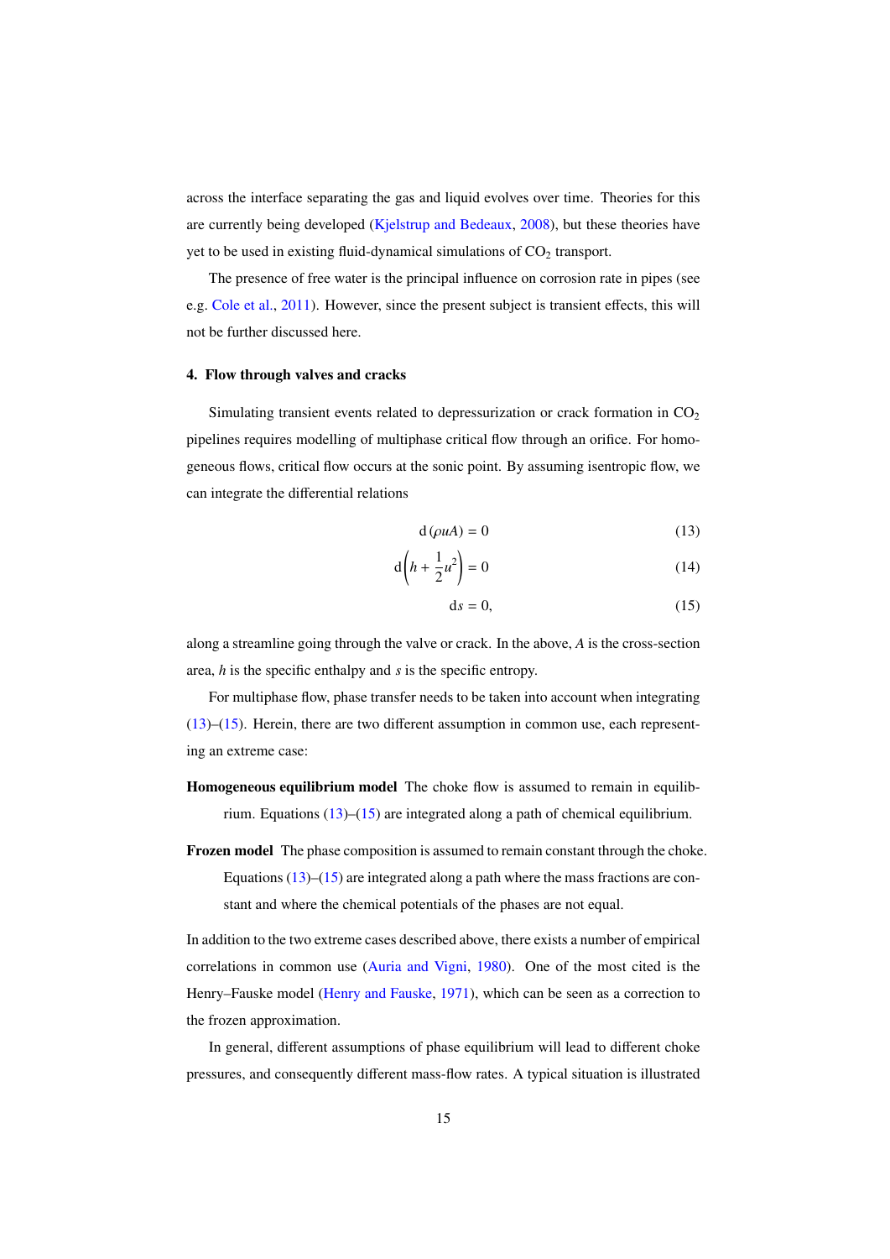across the interface separating the gas and liquid evolves over time. Theories for this are currently being developed (Kjelstrup and Bedeaux, 2008), but these theories have yet to be used in existing fluid-dynamical simulations of  $CO<sub>2</sub>$  transport.

The presence of free water is the principal influence on corrosion rate in pipes (see e.g. Cole et al., 2011). However, since the present subject is transient effects, this will not be further discussed here.

#### 4. Flow through valves and cracks

Simulating transient events related to depressurization or crack formation in  $CO<sub>2</sub>$ pipelines requires modelling of multiphase critical flow through an orifice. For homogeneous flows, critical flow occurs at the sonic point. By assuming isentropic flow, we can integrate the differential relations

$$
d(\rho u A) = 0 \tag{13}
$$

$$
d\left(h + \frac{1}{2}u^2\right) = 0\tag{14}
$$

$$
ds = 0,\t(15)
$$

along a streamline going through the valve or crack. In the above, *A* is the cross-section area, *h* is the specific enthalpy and *s* is the specific entropy.

For multiphase flow, phase transfer needs to be taken into account when integrating (13)–(15). Herein, there are two different assumption in common use, each representing an extreme case:

- Homogeneous equilibrium model The choke flow is assumed to remain in equilibrium. Equations (13)–(15) are integrated along a path of chemical equilibrium.
- Frozen model The phase composition is assumed to remain constant through the choke. Equations  $(13)$ – $(15)$  are integrated along a path where the mass fractions are constant and where the chemical potentials of the phases are not equal.

In addition to the two extreme cases described above, there exists a number of empirical correlations in common use (Auria and Vigni, 1980). One of the most cited is the Henry–Fauske model (Henry and Fauske, 1971), which can be seen as a correction to the frozen approximation.

In general, different assumptions of phase equilibrium will lead to different choke pressures, and consequently different mass-flow rates. A typical situation is illustrated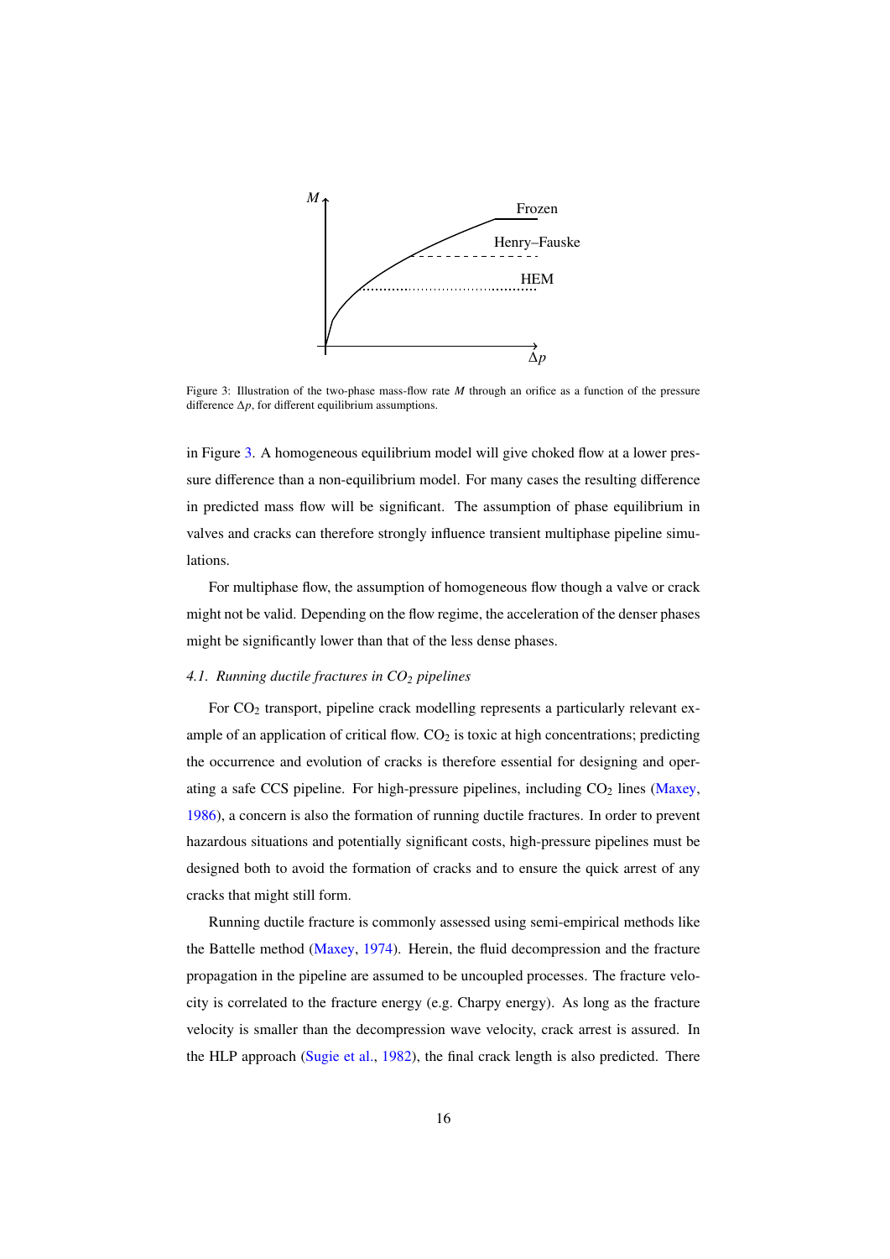

Figure 3: Illustration of the two-phase mass-flow rate *M* through an orifice as a function of the pressure difference ∆*p*, for different equilibrium assumptions.

in Figure 3. A homogeneous equilibrium model will give choked flow at a lower pressure difference than a non-equilibrium model. For many cases the resulting difference in predicted mass flow will be significant. The assumption of phase equilibrium in valves and cracks can therefore strongly influence transient multiphase pipeline simulations.

For multiphase flow, the assumption of homogeneous flow though a valve or crack might not be valid. Depending on the flow regime, the acceleration of the denser phases might be significantly lower than that of the less dense phases.

#### *4.1. Running ductile fractures in CO<sup>2</sup> pipelines*

For CO<sub>2</sub> transport, pipeline crack modelling represents a particularly relevant example of an application of critical flow.  $CO<sub>2</sub>$  is toxic at high concentrations; predicting the occurrence and evolution of cracks is therefore essential for designing and operating a safe CCS pipeline. For high-pressure pipelines, including  $CO<sub>2</sub>$  lines (Maxey, 1986), a concern is also the formation of running ductile fractures. In order to prevent hazardous situations and potentially significant costs, high-pressure pipelines must be designed both to avoid the formation of cracks and to ensure the quick arrest of any cracks that might still form.

Running ductile fracture is commonly assessed using semi-empirical methods like the Battelle method (Maxey, 1974). Herein, the fluid decompression and the fracture propagation in the pipeline are assumed to be uncoupled processes. The fracture velocity is correlated to the fracture energy (e.g. Charpy energy). As long as the fracture velocity is smaller than the decompression wave velocity, crack arrest is assured. In the HLP approach (Sugie et al., 1982), the final crack length is also predicted. There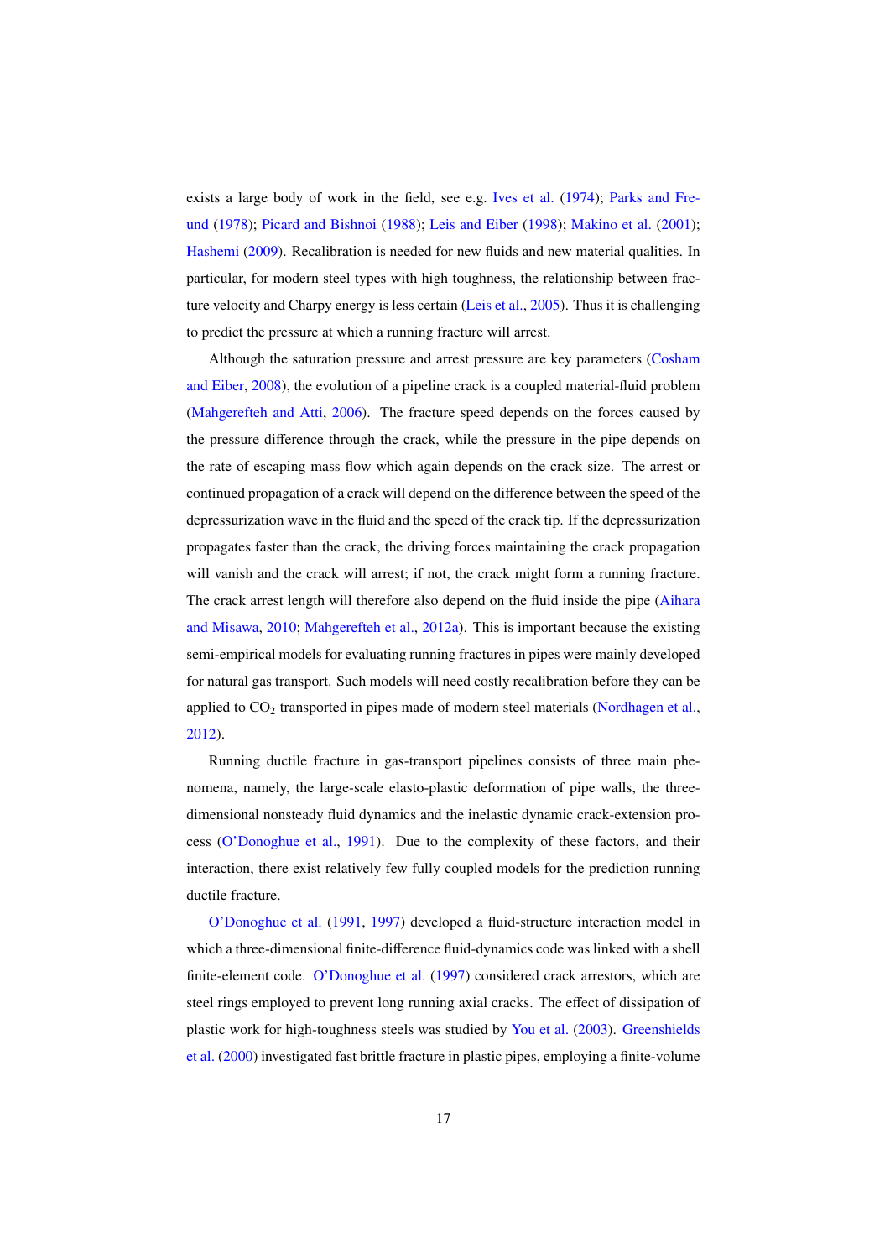exists a large body of work in the field, see e.g. Ives et al. (1974); Parks and Freund (1978); Picard and Bishnoi (1988); Leis and Eiber (1998); Makino et al. (2001); Hashemi (2009). Recalibration is needed for new fluids and new material qualities. In particular, for modern steel types with high toughness, the relationship between fracture velocity and Charpy energy is less certain (Leis et al., 2005). Thus it is challenging to predict the pressure at which a running fracture will arrest.

Although the saturation pressure and arrest pressure are key parameters (Cosham and Eiber, 2008), the evolution of a pipeline crack is a coupled material-fluid problem (Mahgerefteh and Atti, 2006). The fracture speed depends on the forces caused by the pressure difference through the crack, while the pressure in the pipe depends on the rate of escaping mass flow which again depends on the crack size. The arrest or continued propagation of a crack will depend on the difference between the speed of the depressurization wave in the fluid and the speed of the crack tip. If the depressurization propagates faster than the crack, the driving forces maintaining the crack propagation will vanish and the crack will arrest; if not, the crack might form a running fracture. The crack arrest length will therefore also depend on the fluid inside the pipe (Aihara and Misawa, 2010; Mahgerefteh et al., 2012a). This is important because the existing semi-empirical models for evaluating running fractures in pipes were mainly developed for natural gas transport. Such models will need costly recalibration before they can be applied to  $CO<sub>2</sub>$  transported in pipes made of modern steel materials (Nordhagen et al., 2012).

Running ductile fracture in gas-transport pipelines consists of three main phenomena, namely, the large-scale elasto-plastic deformation of pipe walls, the threedimensional nonsteady fluid dynamics and the inelastic dynamic crack-extension process (O'Donoghue et al., 1991). Due to the complexity of these factors, and their interaction, there exist relatively few fully coupled models for the prediction running ductile fracture.

O'Donoghue et al. (1991, 1997) developed a fluid-structure interaction model in which a three-dimensional finite-difference fluid-dynamics code was linked with a shell finite-element code. O'Donoghue et al. (1997) considered crack arrestors, which are steel rings employed to prevent long running axial cracks. The effect of dissipation of plastic work for high-toughness steels was studied by You et al. (2003). Greenshields et al. (2000) investigated fast brittle fracture in plastic pipes, employing a finite-volume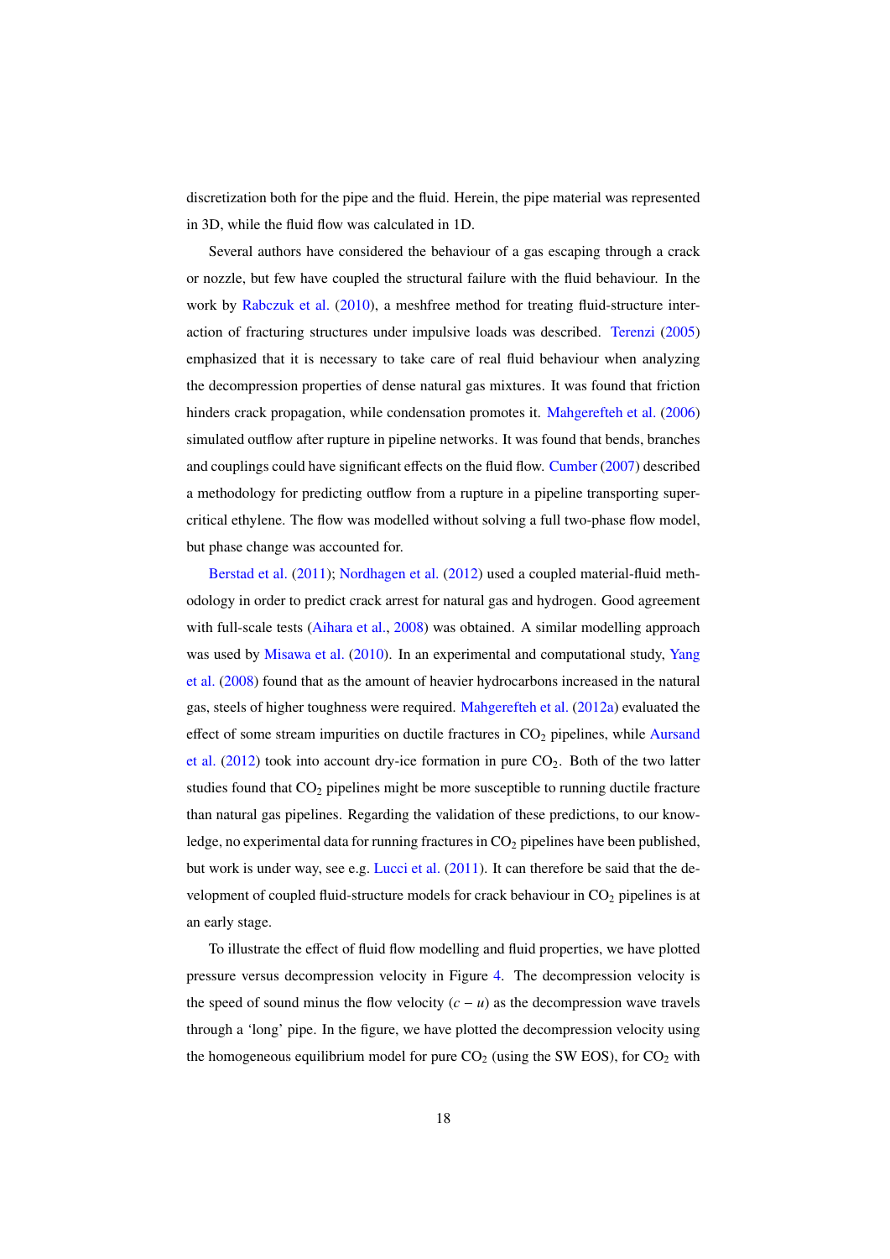discretization both for the pipe and the fluid. Herein, the pipe material was represented in 3D, while the fluid flow was calculated in 1D.

Several authors have considered the behaviour of a gas escaping through a crack or nozzle, but few have coupled the structural failure with the fluid behaviour. In the work by Rabczuk et al. (2010), a meshfree method for treating fluid-structure interaction of fracturing structures under impulsive loads was described. Terenzi (2005) emphasized that it is necessary to take care of real fluid behaviour when analyzing the decompression properties of dense natural gas mixtures. It was found that friction hinders crack propagation, while condensation promotes it. Mahgerefteh et al. (2006) simulated outflow after rupture in pipeline networks. It was found that bends, branches and couplings could have significant effects on the fluid flow. Cumber (2007) described a methodology for predicting outflow from a rupture in a pipeline transporting supercritical ethylene. The flow was modelled without solving a full two-phase flow model, but phase change was accounted for.

Berstad et al. (2011); Nordhagen et al. (2012) used a coupled material-fluid methodology in order to predict crack arrest for natural gas and hydrogen. Good agreement with full-scale tests (Aihara et al., 2008) was obtained. A similar modelling approach was used by Misawa et al. (2010). In an experimental and computational study, Yang et al. (2008) found that as the amount of heavier hydrocarbons increased in the natural gas, steels of higher toughness were required. Mahgerefteh et al. (2012a) evaluated the effect of some stream impurities on ductile fractures in  $CO<sub>2</sub>$  pipelines, while Aursand et al.  $(2012)$  took into account dry-ice formation in pure  $CO<sub>2</sub>$ . Both of the two latter studies found that  $CO<sub>2</sub>$  pipelines might be more susceptible to running ductile fracture than natural gas pipelines. Regarding the validation of these predictions, to our knowledge, no experimental data for running fractures in  $CO<sub>2</sub>$  pipelines have been published, but work is under way, see e.g. Lucci et al. (2011). It can therefore be said that the development of coupled fluid-structure models for crack behaviour in  $CO<sub>2</sub>$  pipelines is at an early stage.

To illustrate the effect of fluid flow modelling and fluid properties, we have plotted pressure versus decompression velocity in Figure 4. The decompression velocity is the speed of sound minus the flow velocity  $(c - u)$  as the decompression wave travels through a 'long' pipe. In the figure, we have plotted the decompression velocity using the homogeneous equilibrium model for pure  $CO<sub>2</sub>$  (using the SW EOS), for  $CO<sub>2</sub>$  with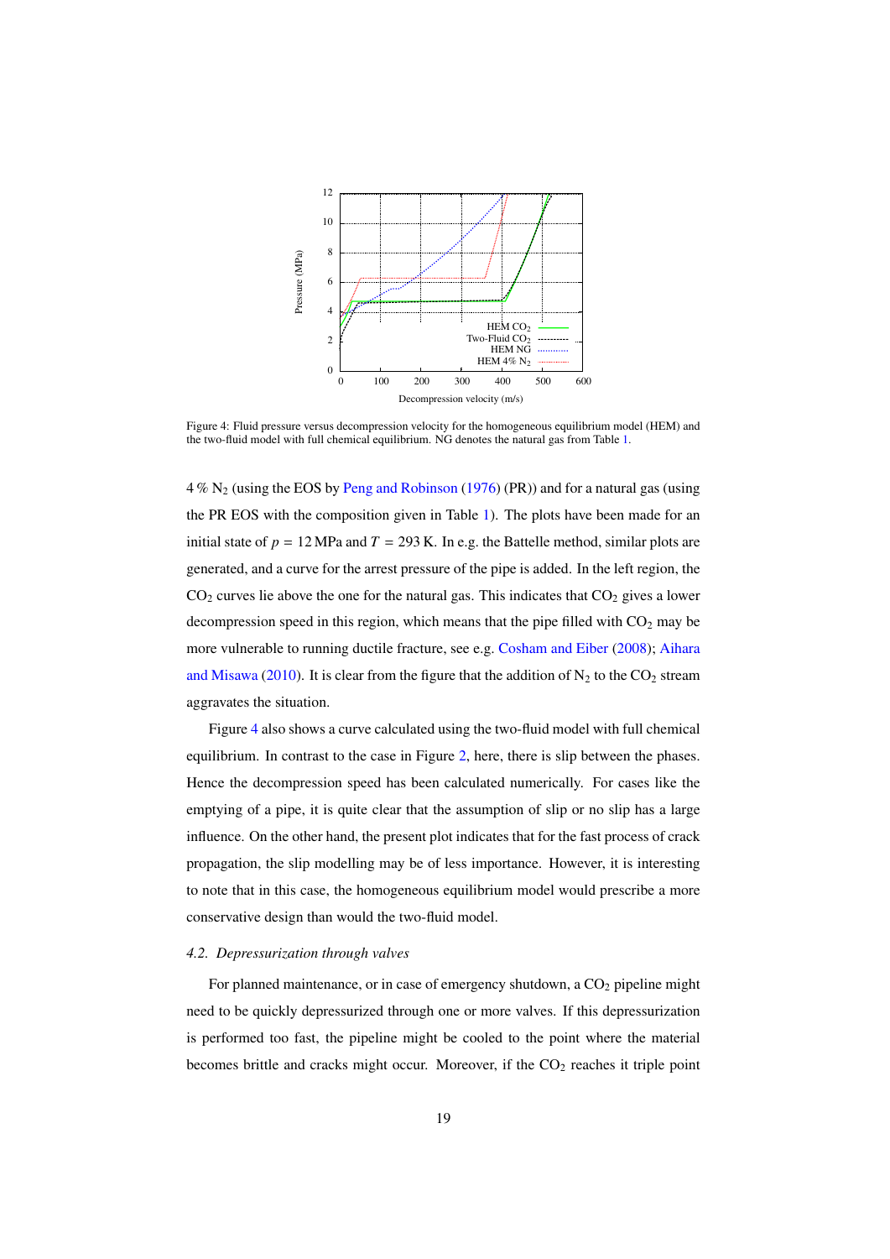

Figure 4: Fluid pressure versus decompression velocity for the homogeneous equilibrium model (HEM) and the two-fluid model with full chemical equilibrium. NG denotes the natural gas from Table 1.

 $4\%$  N<sub>2</sub> (using the EOS by Peng and Robinson (1976) (PR)) and for a natural gas (using the PR EOS with the composition given in Table 1). The plots have been made for an initial state of  $p = 12$  MPa and  $T = 293$  K. In e.g. the Battelle method, similar plots are generated, and a curve for the arrest pressure of the pipe is added. In the left region, the  $CO<sub>2</sub>$  curves lie above the one for the natural gas. This indicates that  $CO<sub>2</sub>$  gives a lower decompression speed in this region, which means that the pipe filled with  $CO<sub>2</sub>$  may be more vulnerable to running ductile fracture, see e.g. Cosham and Eiber (2008); Aihara and Misawa (2010). It is clear from the figure that the addition of  $N_2$  to the  $CO_2$  stream aggravates the situation.

Figure 4 also shows a curve calculated using the two-fluid model with full chemical equilibrium. In contrast to the case in Figure 2, here, there is slip between the phases. Hence the decompression speed has been calculated numerically. For cases like the emptying of a pipe, it is quite clear that the assumption of slip or no slip has a large influence. On the other hand, the present plot indicates that for the fast process of crack propagation, the slip modelling may be of less importance. However, it is interesting to note that in this case, the homogeneous equilibrium model would prescribe a more conservative design than would the two-fluid model.

#### *4.2. Depressurization through valves*

For planned maintenance, or in case of emergency shutdown, a  $CO<sub>2</sub>$  pipeline might need to be quickly depressurized through one or more valves. If this depressurization is performed too fast, the pipeline might be cooled to the point where the material becomes brittle and cracks might occur. Moreover, if the  $CO<sub>2</sub>$  reaches it triple point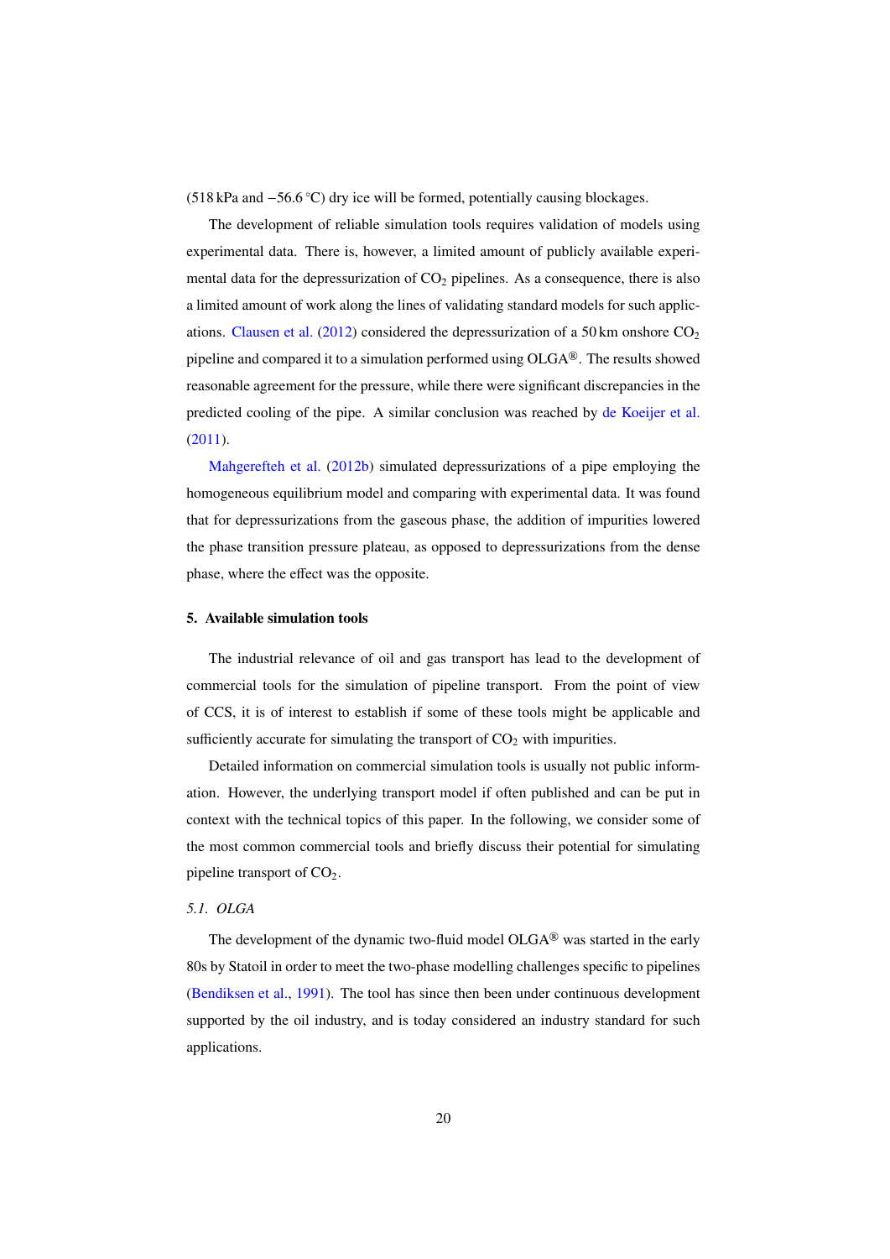(518 kPa and −56.6 ◦C) dry ice will be formed, potentially causing blockages.

The development of reliable simulation tools requires validation of models using experimental data. There is, however, a limited amount of publicly available experimental data for the depressurization of  $CO<sub>2</sub>$  pipelines. As a consequence, there is also a limited amount of work along the lines of validating standard models for such applications. Clausen et al. (2012) considered the depressurization of a 50 km onshore  $CO<sub>2</sub>$ pipeline and compared it to a simulation performed using  $OLGA^@$ . The results showed reasonable agreement for the pressure, while there were significant discrepancies in the predicted cooling of the pipe. A similar conclusion was reached by de Koeijer et al. (2011).

Mahgerefteh et al. (2012b) simulated depressurizations of a pipe employing the homogeneous equilibrium model and comparing with experimental data. It was found that for depressurizations from the gaseous phase, the addition of impurities lowered the phase transition pressure plateau, as opposed to depressurizations from the dense phase, where the effect was the opposite.

#### 5. Available simulation tools

The industrial relevance of oil and gas transport has lead to the development of commercial tools for the simulation of pipeline transport. From the point of view of CCS, it is of interest to establish if some of these tools might be applicable and sufficiently accurate for simulating the transport of  $CO<sub>2</sub>$  with impurities.

Detailed information on commercial simulation tools is usually not public information. However, the underlying transport model if often published and can be put in context with the technical topics of this paper. In the following, we consider some of the most common commercial tools and briefly discuss their potential for simulating pipeline transport of  $CO<sub>2</sub>$ .

#### *5.1. OLGA*

The development of the dynamic two-fluid model  $OLGA^@$  was started in the early 80s by Statoil in order to meet the two-phase modelling challenges specific to pipelines (Bendiksen et al., 1991). The tool has since then been under continuous development supported by the oil industry, and is today considered an industry standard for such applications.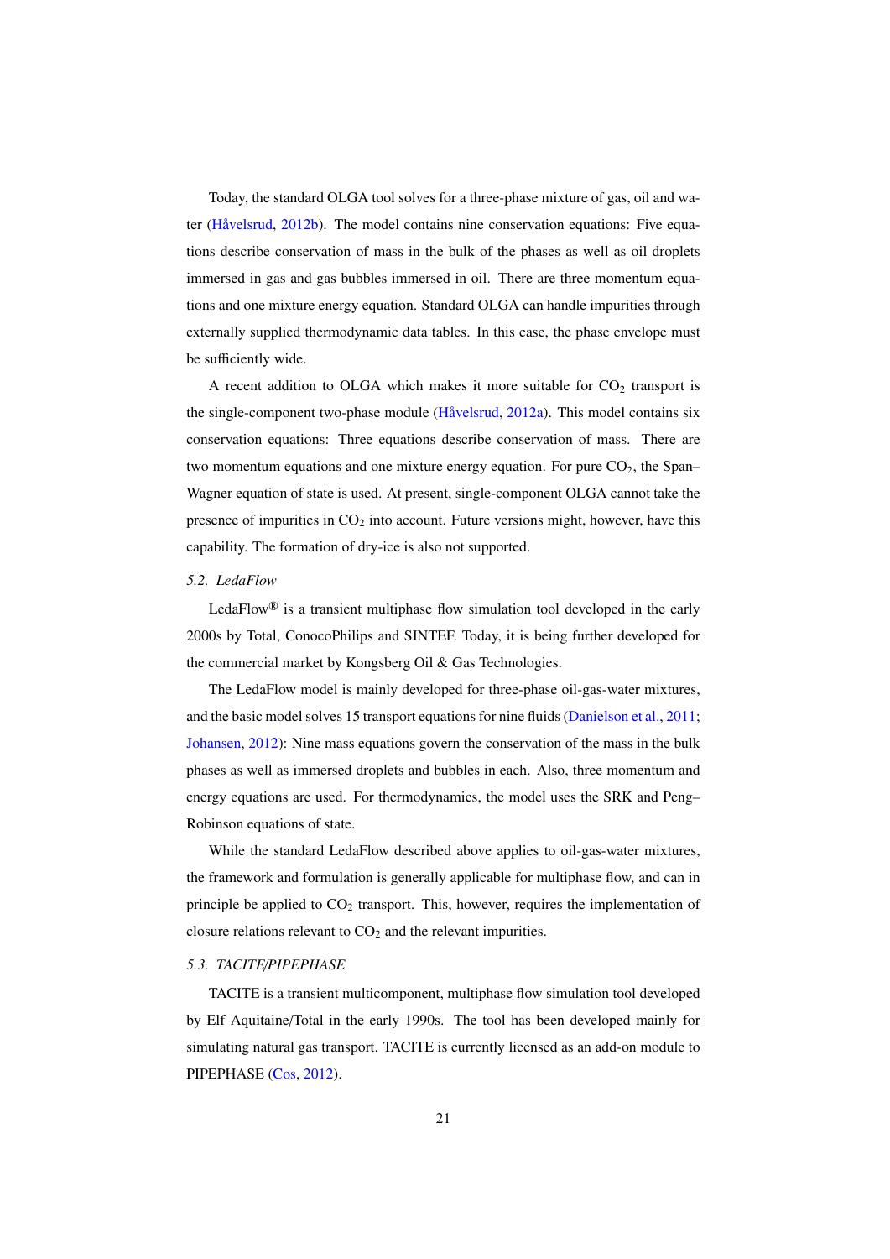Today, the standard OLGA tool solves for a three-phase mixture of gas, oil and water  $(H\ddot{a}$ velsrud, 2012b). The model contains nine conservation equations: Five equations describe conservation of mass in the bulk of the phases as well as oil droplets immersed in gas and gas bubbles immersed in oil. There are three momentum equations and one mixture energy equation. Standard OLGA can handle impurities through externally supplied thermodynamic data tables. In this case, the phase envelope must be sufficiently wide.

A recent addition to OLGA which makes it more suitable for  $CO<sub>2</sub>$  transport is the single-component two-phase module (Håvelsrud, 2012a). This model contains six conservation equations: Three equations describe conservation of mass. There are two momentum equations and one mixture energy equation. For pure  $CO<sub>2</sub>$ , the Span– Wagner equation of state is used. At present, single-component OLGA cannot take the presence of impurities in  $CO<sub>2</sub>$  into account. Future versions might, however, have this capability. The formation of dry-ice is also not supported.

#### *5.2. LedaFlow*

LedaFlow<sup>®</sup> is a transient multiphase flow simulation tool developed in the early 2000s by Total, ConocoPhilips and SINTEF. Today, it is being further developed for the commercial market by Kongsberg Oil & Gas Technologies.

The LedaFlow model is mainly developed for three-phase oil-gas-water mixtures, and the basic model solves 15 transport equations for nine fluids (Danielson et al., 2011; Johansen, 2012): Nine mass equations govern the conservation of the mass in the bulk phases as well as immersed droplets and bubbles in each. Also, three momentum and energy equations are used. For thermodynamics, the model uses the SRK and Peng– Robinson equations of state.

While the standard LedaFlow described above applies to oil-gas-water mixtures, the framework and formulation is generally applicable for multiphase flow, and can in principle be applied to  $CO<sub>2</sub>$  transport. This, however, requires the implementation of closure relations relevant to  $CO<sub>2</sub>$  and the relevant impurities.

#### *5.3. TACITE*/*PIPEPHASE*

TACITE is a transient multicomponent, multiphase flow simulation tool developed by Elf Aquitaine/Total in the early 1990s. The tool has been developed mainly for simulating natural gas transport. TACITE is currently licensed as an add-on module to PIPEPHASE (Cos, 2012).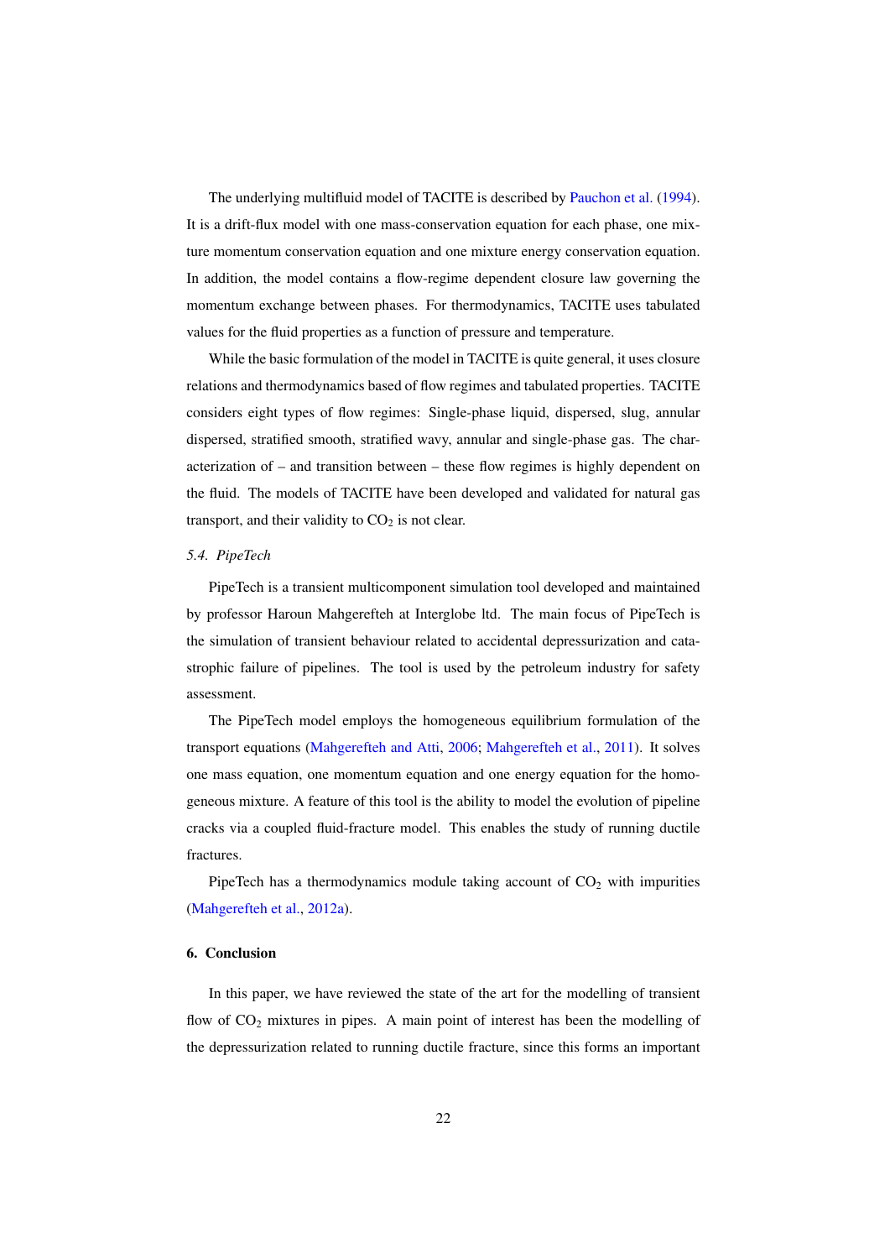The underlying multifluid model of TACITE is described by Pauchon et al. (1994). It is a drift-flux model with one mass-conservation equation for each phase, one mixture momentum conservation equation and one mixture energy conservation equation. In addition, the model contains a flow-regime dependent closure law governing the momentum exchange between phases. For thermodynamics, TACITE uses tabulated values for the fluid properties as a function of pressure and temperature.

While the basic formulation of the model in TACITE is quite general, it uses closure relations and thermodynamics based of flow regimes and tabulated properties. TACITE considers eight types of flow regimes: Single-phase liquid, dispersed, slug, annular dispersed, stratified smooth, stratified wavy, annular and single-phase gas. The characterization of – and transition between – these flow regimes is highly dependent on the fluid. The models of TACITE have been developed and validated for natural gas transport, and their validity to  $CO<sub>2</sub>$  is not clear.

#### *5.4. PipeTech*

PipeTech is a transient multicomponent simulation tool developed and maintained by professor Haroun Mahgerefteh at Interglobe ltd. The main focus of PipeTech is the simulation of transient behaviour related to accidental depressurization and catastrophic failure of pipelines. The tool is used by the petroleum industry for safety assessment.

The PipeTech model employs the homogeneous equilibrium formulation of the transport equations (Mahgerefteh and Atti, 2006; Mahgerefteh et al., 2011). It solves one mass equation, one momentum equation and one energy equation for the homogeneous mixture. A feature of this tool is the ability to model the evolution of pipeline cracks via a coupled fluid-fracture model. This enables the study of running ductile fractures.

PipeTech has a thermodynamics module taking account of  $CO<sub>2</sub>$  with impurities (Mahgerefteh et al., 2012a).

#### 6. Conclusion

In this paper, we have reviewed the state of the art for the modelling of transient flow of  $CO<sub>2</sub>$  mixtures in pipes. A main point of interest has been the modelling of the depressurization related to running ductile fracture, since this forms an important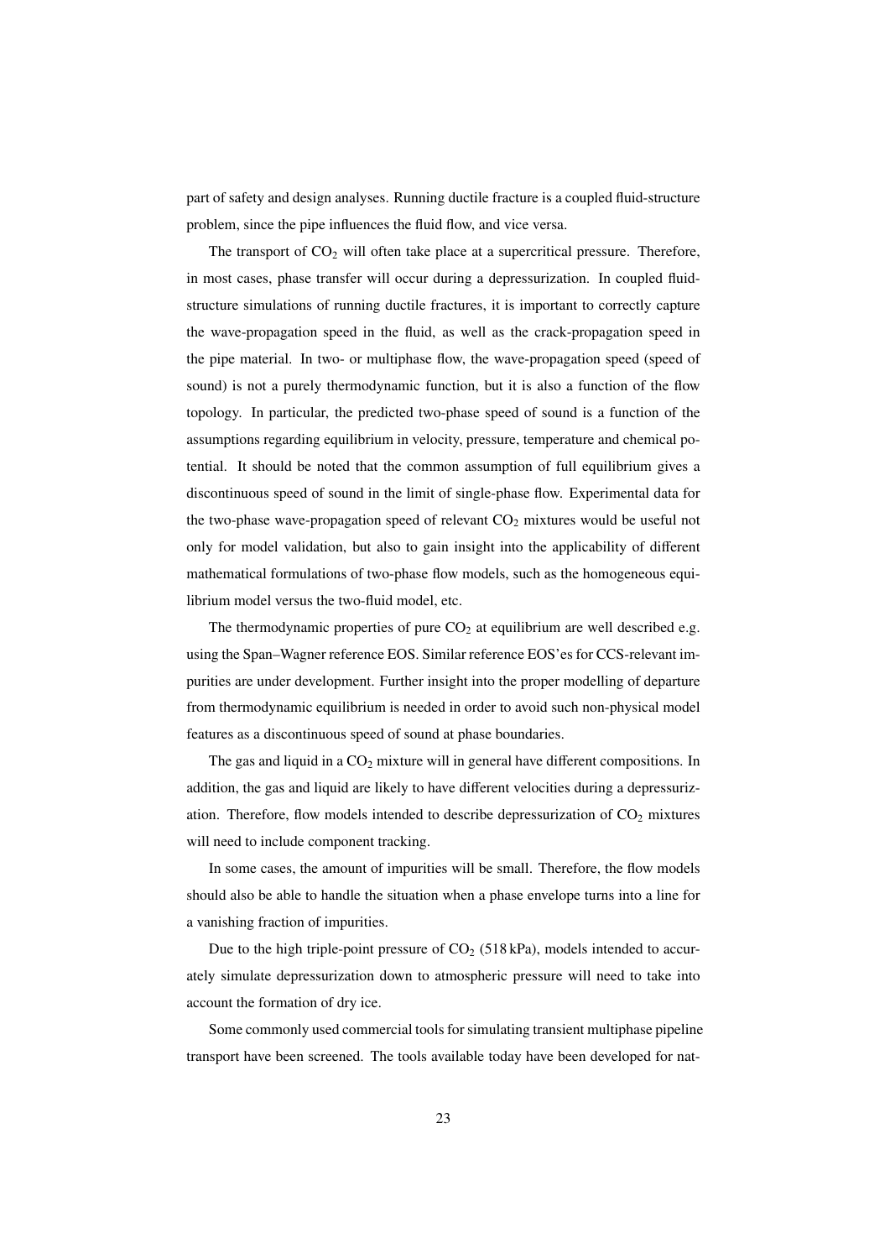part of safety and design analyses. Running ductile fracture is a coupled fluid-structure problem, since the pipe influences the fluid flow, and vice versa.

The transport of  $CO<sub>2</sub>$  will often take place at a supercritical pressure. Therefore, in most cases, phase transfer will occur during a depressurization. In coupled fluidstructure simulations of running ductile fractures, it is important to correctly capture the wave-propagation speed in the fluid, as well as the crack-propagation speed in the pipe material. In two- or multiphase flow, the wave-propagation speed (speed of sound) is not a purely thermodynamic function, but it is also a function of the flow topology. In particular, the predicted two-phase speed of sound is a function of the assumptions regarding equilibrium in velocity, pressure, temperature and chemical potential. It should be noted that the common assumption of full equilibrium gives a discontinuous speed of sound in the limit of single-phase flow. Experimental data for the two-phase wave-propagation speed of relevant  $CO<sub>2</sub>$  mixtures would be useful not only for model validation, but also to gain insight into the applicability of different mathematical formulations of two-phase flow models, such as the homogeneous equilibrium model versus the two-fluid model, etc.

The thermodynamic properties of pure  $CO<sub>2</sub>$  at equilibrium are well described e.g. using the Span–Wagner reference EOS. Similar reference EOS'es for CCS-relevant impurities are under development. Further insight into the proper modelling of departure from thermodynamic equilibrium is needed in order to avoid such non-physical model features as a discontinuous speed of sound at phase boundaries.

The gas and liquid in a  $CO<sub>2</sub>$  mixture will in general have different compositions. In addition, the gas and liquid are likely to have different velocities during a depressurization. Therefore, flow models intended to describe depressurization of  $CO<sub>2</sub>$  mixtures will need to include component tracking.

In some cases, the amount of impurities will be small. Therefore, the flow models should also be able to handle the situation when a phase envelope turns into a line for a vanishing fraction of impurities.

Due to the high triple-point pressure of  $CO<sub>2</sub>$  (518 kPa), models intended to accurately simulate depressurization down to atmospheric pressure will need to take into account the formation of dry ice.

Some commonly used commercial tools for simulating transient multiphase pipeline transport have been screened. The tools available today have been developed for nat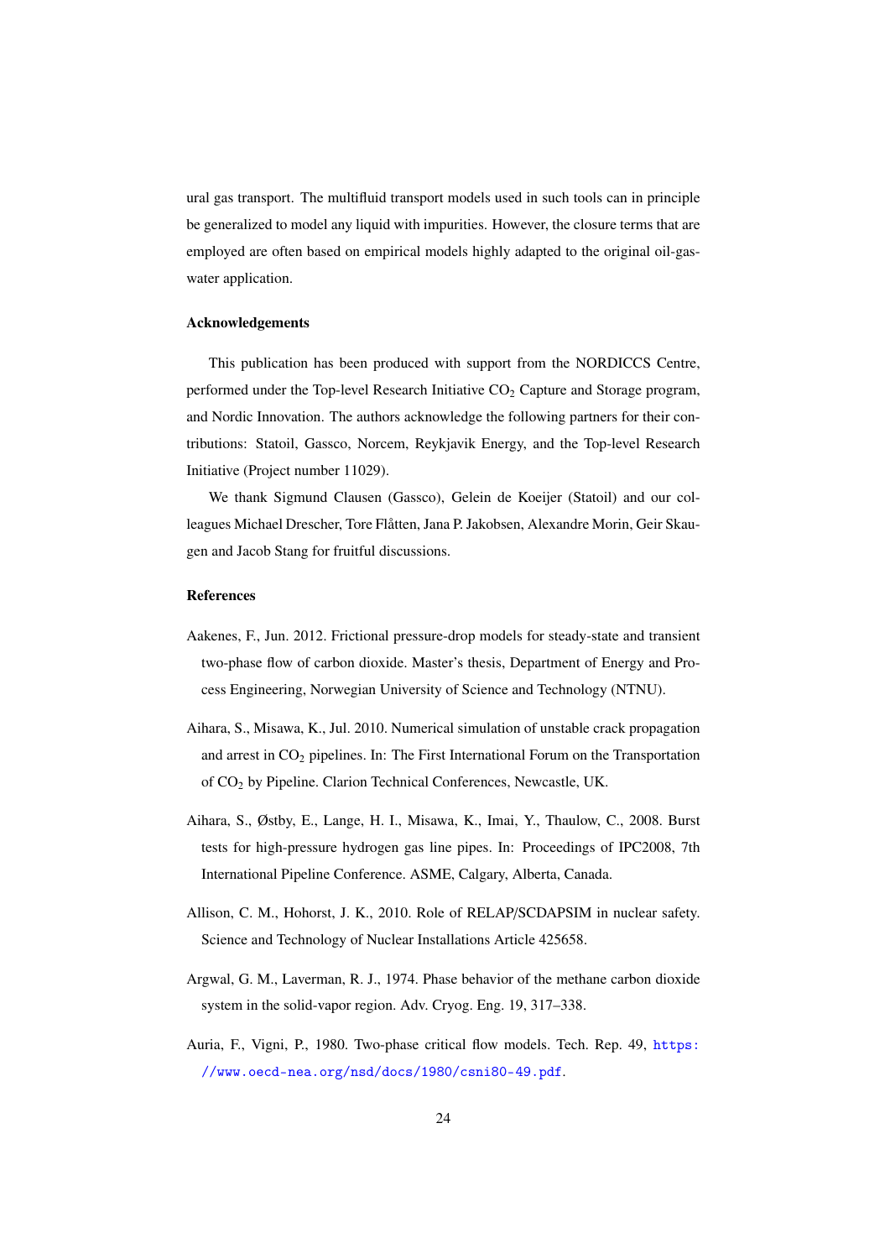ural gas transport. The multifluid transport models used in such tools can in principle be generalized to model any liquid with impurities. However, the closure terms that are employed are often based on empirical models highly adapted to the original oil-gaswater application.

#### Acknowledgements

This publication has been produced with support from the NORDICCS Centre, performed under the Top-level Research Initiative  $CO<sub>2</sub>$  Capture and Storage program, and Nordic Innovation. The authors acknowledge the following partners for their contributions: Statoil, Gassco, Norcem, Reykjavik Energy, and the Top-level Research Initiative (Project number 11029).

We thank Sigmund Clausen (Gassco), Gelein de Koeijer (Statoil) and our colleagues Michael Drescher, Tore Flåtten, Jana P. Jakobsen, Alexandre Morin, Geir Skaugen and Jacob Stang for fruitful discussions.

#### **References**

- Aakenes, F., Jun. 2012. Frictional pressure-drop models for steady-state and transient two-phase flow of carbon dioxide. Master's thesis, Department of Energy and Process Engineering, Norwegian University of Science and Technology (NTNU).
- Aihara, S., Misawa, K., Jul. 2010. Numerical simulation of unstable crack propagation and arrest in  $CO<sub>2</sub>$  pipelines. In: The First International Forum on the Transportation of CO<sup>2</sup> by Pipeline. Clarion Technical Conferences, Newcastle, UK.
- Aihara, S., Østby, E., Lange, H. I., Misawa, K., Imai, Y., Thaulow, C., 2008. Burst tests for high-pressure hydrogen gas line pipes. In: Proceedings of IPC2008, 7th International Pipeline Conference. ASME, Calgary, Alberta, Canada.
- Allison, C. M., Hohorst, J. K., 2010. Role of RELAP/SCDAPSIM in nuclear safety. Science and Technology of Nuclear Installations Article 425658.
- Argwal, G. M., Laverman, R. J., 1974. Phase behavior of the methane carbon dioxide system in the solid-vapor region. Adv. Cryog. Eng. 19, 317–338.
- Auria, F., Vigni, P., 1980. Two-phase critical flow models. Tech. Rep. 49, https: //www.oecd-nea.org/nsd/docs/1980/csni80-49.pdf.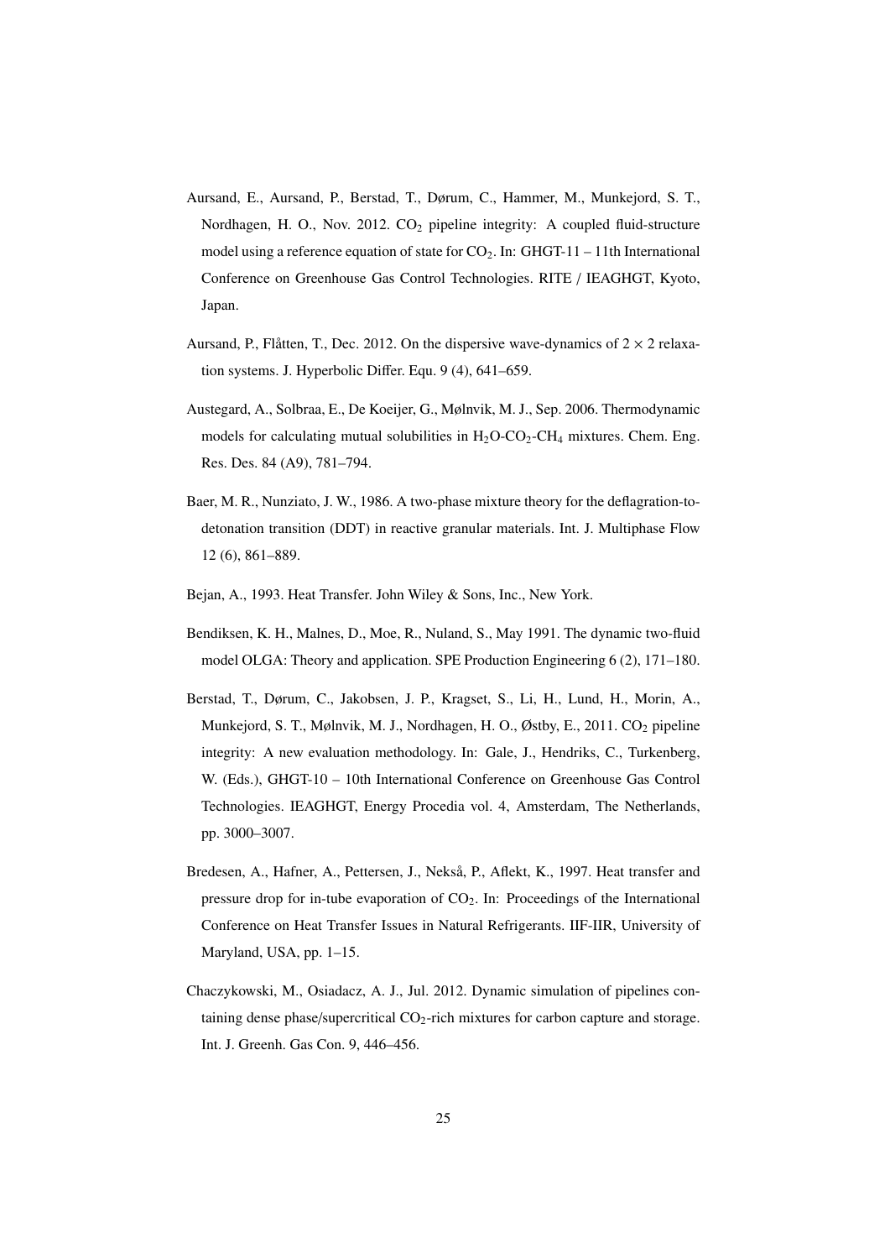- Aursand, E., Aursand, P., Berstad, T., Dørum, C., Hammer, M., Munkejord, S. T., Nordhagen, H. O., Nov. 2012.  $CO<sub>2</sub>$  pipeline integrity: A coupled fluid-structure model using a reference equation of state for  $CO_2$ . In: GHGT-11 – 11th International Conference on Greenhouse Gas Control Technologies. RITE / IEAGHGT, Kyoto, Japan.
- Aursand, P., Flåtten, T., Dec. 2012. On the dispersive wave-dynamics of  $2 \times 2$  relaxation systems. J. Hyperbolic Differ. Equ. 9 (4), 641–659.
- Austegard, A., Solbraa, E., De Koeijer, G., Mølnvik, M. J., Sep. 2006. Thermodynamic models for calculating mutual solubilities in  $H_2O$ -CO<sub>2</sub>-CH<sub>4</sub> mixtures. Chem. Eng. Res. Des. 84 (A9), 781–794.
- Baer, M. R., Nunziato, J. W., 1986. A two-phase mixture theory for the deflagration-todetonation transition (DDT) in reactive granular materials. Int. J. Multiphase Flow 12 (6), 861–889.
- Bejan, A., 1993. Heat Transfer. John Wiley & Sons, Inc., New York.
- Bendiksen, K. H., Malnes, D., Moe, R., Nuland, S., May 1991. The dynamic two-fluid model OLGA: Theory and application. SPE Production Engineering 6 (2), 171–180.
- Berstad, T., Dørum, C., Jakobsen, J. P., Kragset, S., Li, H., Lund, H., Morin, A., Munkejord, S. T., Mølnvik, M. J., Nordhagen, H. O., Østby, E., 2011. CO<sub>2</sub> pipeline integrity: A new evaluation methodology. In: Gale, J., Hendriks, C., Turkenberg, W. (Eds.), GHGT-10 – 10th International Conference on Greenhouse Gas Control Technologies. IEAGHGT, Energy Procedia vol. 4, Amsterdam, The Netherlands, pp. 3000–3007.
- Bredesen, A., Hafner, A., Pettersen, J., Nekså, P., Aflekt, K., 1997. Heat transfer and pressure drop for in-tube evaporation of  $CO<sub>2</sub>$ . In: Proceedings of the International Conference on Heat Transfer Issues in Natural Refrigerants. IIF-IIR, University of Maryland, USA, pp. 1–15.
- Chaczykowski, M., Osiadacz, A. J., Jul. 2012. Dynamic simulation of pipelines containing dense phase/supercritical  $CO<sub>2</sub>$ -rich mixtures for carbon capture and storage. Int. J. Greenh. Gas Con. 9, 446–456.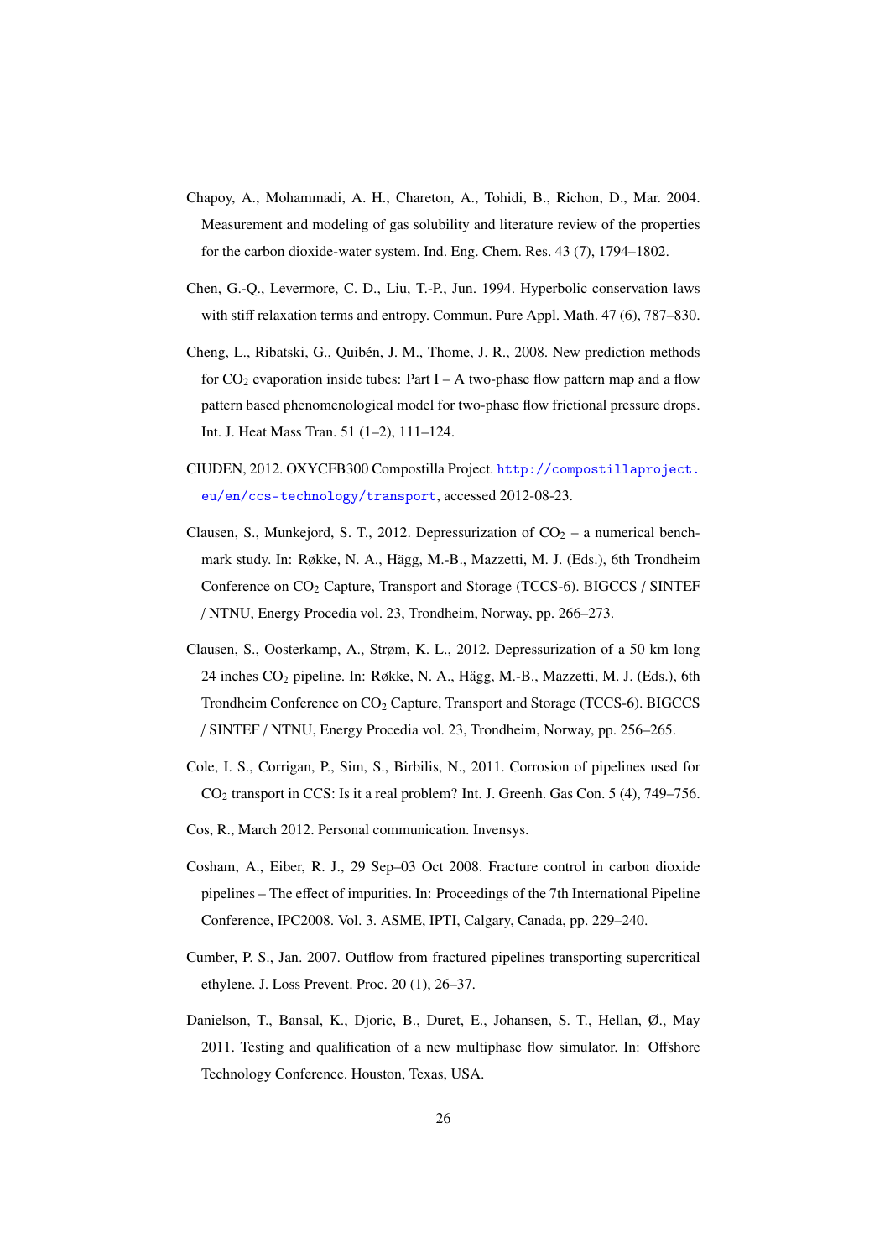- Chapoy, A., Mohammadi, A. H., Chareton, A., Tohidi, B., Richon, D., Mar. 2004. Measurement and modeling of gas solubility and literature review of the properties for the carbon dioxide-water system. Ind. Eng. Chem. Res. 43 (7), 1794–1802.
- Chen, G.-Q., Levermore, C. D., Liu, T.-P., Jun. 1994. Hyperbolic conservation laws with stiff relaxation terms and entropy. Commun. Pure Appl. Math. 47 (6), 787–830.
- Cheng, L., Ribatski, G., Quibén, J. M., Thome, J. R., 2008. New prediction methods for  $CO_2$  evaporation inside tubes: Part I – A two-phase flow pattern map and a flow pattern based phenomenological model for two-phase flow frictional pressure drops. Int. J. Heat Mass Tran. 51 (1–2), 111–124.
- CIUDEN, 2012. OXYCFB300 Compostilla Project. http://compostillaproject. eu/en/ccs-technology/transport, accessed 2012-08-23.
- Clausen, S., Munkejord, S. T., 2012. Depressurization of  $CO<sub>2</sub> a$  numerical benchmark study. In: Røkke, N. A., Hägg, M.-B., Mazzetti, M. J. (Eds.), 6th Trondheim Conference on  $CO_2$  Capture, Transport and Storage (TCCS-6). BIGCCS / SINTEF / NTNU, Energy Procedia vol. 23, Trondheim, Norway, pp. 266–273.
- Clausen, S., Oosterkamp, A., Strøm, K. L., 2012. Depressurization of a 50 km long 24 inches CO<sup>2</sup> pipeline. In: Røkke, N. A., Hägg, M.-B., Mazzetti, M. J. (Eds.), 6th Trondheim Conference on CO<sub>2</sub> Capture, Transport and Storage (TCCS-6). BIGCCS / SINTEF / NTNU, Energy Procedia vol. 23, Trondheim, Norway, pp. 256–265.
- Cole, I. S., Corrigan, P., Sim, S., Birbilis, N., 2011. Corrosion of pipelines used for CO<sup>2</sup> transport in CCS: Is it a real problem? Int. J. Greenh. Gas Con. 5 (4), 749–756.
- Cos, R., March 2012. Personal communication. Invensys.
- Cosham, A., Eiber, R. J., 29 Sep–03 Oct 2008. Fracture control in carbon dioxide pipelines – The effect of impurities. In: Proceedings of the 7th International Pipeline Conference, IPC2008. Vol. 3. ASME, IPTI, Calgary, Canada, pp. 229–240.
- Cumber, P. S., Jan. 2007. Outflow from fractured pipelines transporting supercritical ethylene. J. Loss Prevent. Proc. 20 (1), 26–37.
- Danielson, T., Bansal, K., Djoric, B., Duret, E., Johansen, S. T., Hellan, Ø., May 2011. Testing and qualification of a new multiphase flow simulator. In: Offshore Technology Conference. Houston, Texas, USA.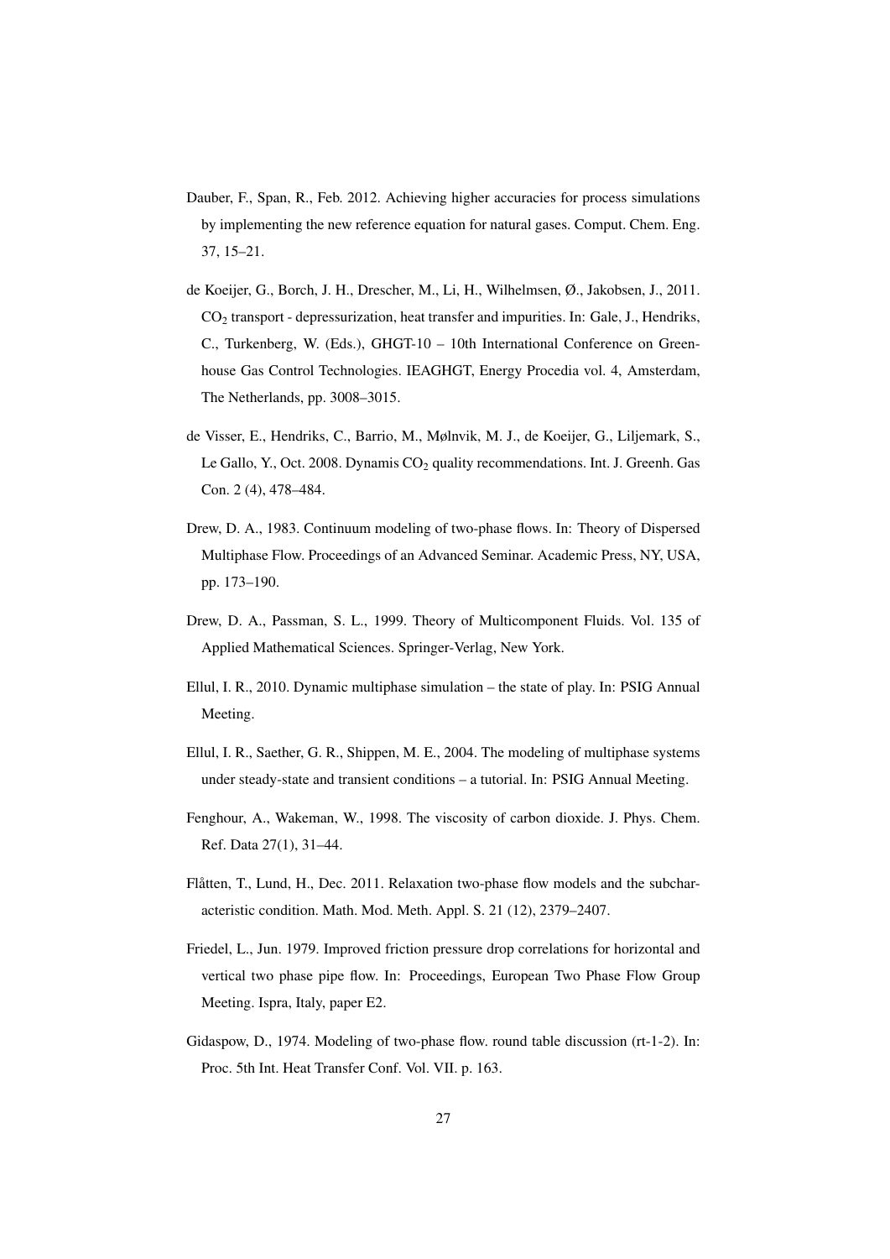- Dauber, F., Span, R., Feb. 2012. Achieving higher accuracies for process simulations by implementing the new reference equation for natural gases. Comput. Chem. Eng. 37, 15–21.
- de Koeijer, G., Borch, J. H., Drescher, M., Li, H., Wilhelmsen, Ø., Jakobsen, J., 2011. CO<sup>2</sup> transport - depressurization, heat transfer and impurities. In: Gale, J., Hendriks, C., Turkenberg, W. (Eds.), GHGT-10 – 10th International Conference on Greenhouse Gas Control Technologies. IEAGHGT, Energy Procedia vol. 4, Amsterdam, The Netherlands, pp. 3008–3015.
- de Visser, E., Hendriks, C., Barrio, M., Mølnvik, M. J., de Koeijer, G., Liljemark, S., Le Gallo, Y., Oct. 2008. Dynamis  $CO<sub>2</sub>$  quality recommendations. Int. J. Greenh. Gas Con. 2 (4), 478–484.
- Drew, D. A., 1983. Continuum modeling of two-phase flows. In: Theory of Dispersed Multiphase Flow. Proceedings of an Advanced Seminar. Academic Press, NY, USA, pp. 173–190.
- Drew, D. A., Passman, S. L., 1999. Theory of Multicomponent Fluids. Vol. 135 of Applied Mathematical Sciences. Springer-Verlag, New York.
- Ellul, I. R., 2010. Dynamic multiphase simulation the state of play. In: PSIG Annual Meeting.
- Ellul, I. R., Saether, G. R., Shippen, M. E., 2004. The modeling of multiphase systems under steady-state and transient conditions – a tutorial. In: PSIG Annual Meeting.
- Fenghour, A., Wakeman, W., 1998. The viscosity of carbon dioxide. J. Phys. Chem. Ref. Data 27(1), 31–44.
- Flåtten, T., Lund, H., Dec. 2011. Relaxation two-phase flow models and the subcharacteristic condition. Math. Mod. Meth. Appl. S. 21 (12), 2379–2407.
- Friedel, L., Jun. 1979. Improved friction pressure drop correlations for horizontal and vertical two phase pipe flow. In: Proceedings, European Two Phase Flow Group Meeting. Ispra, Italy, paper E2.
- Gidaspow, D., 1974. Modeling of two-phase flow. round table discussion (rt-1-2). In: Proc. 5th Int. Heat Transfer Conf. Vol. VII. p. 163.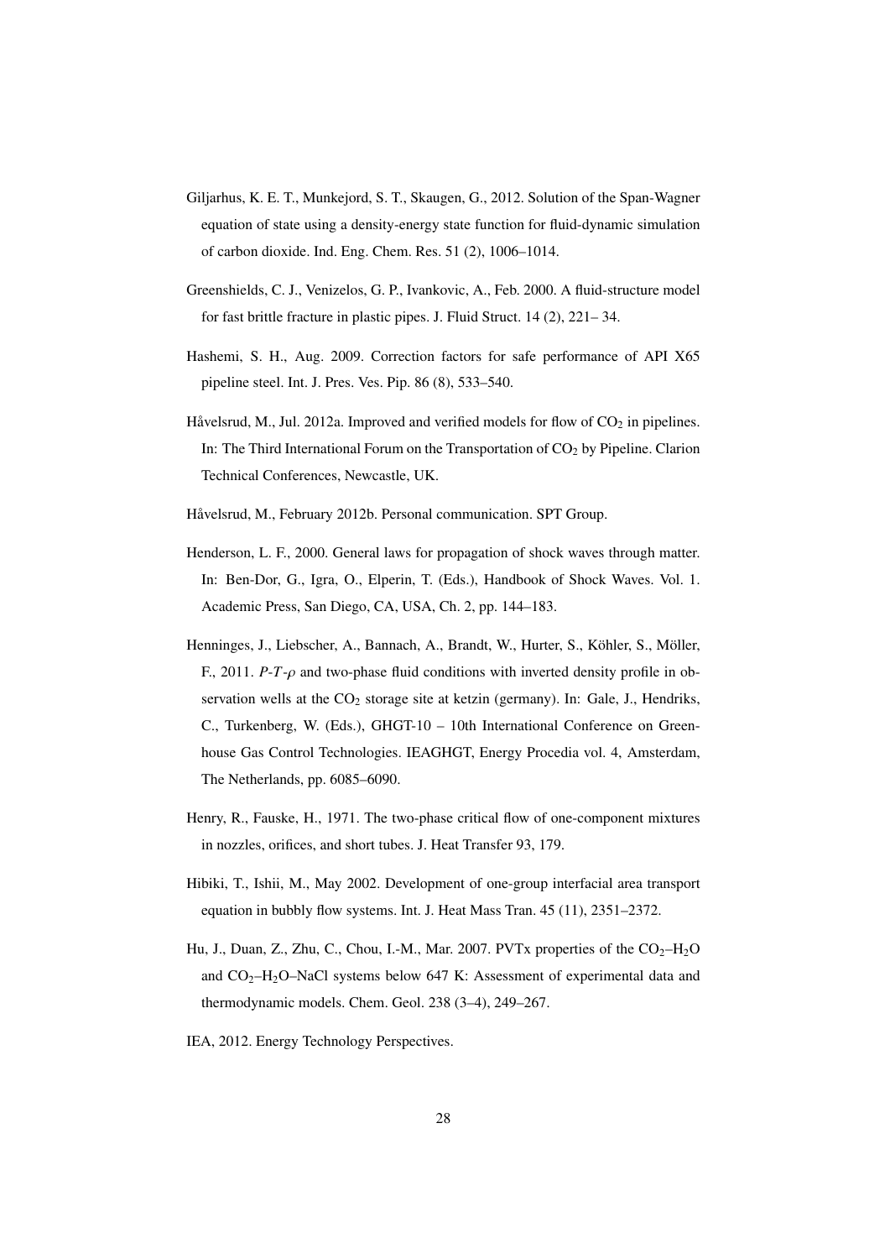- Giljarhus, K. E. T., Munkejord, S. T., Skaugen, G., 2012. Solution of the Span-Wagner equation of state using a density-energy state function for fluid-dynamic simulation of carbon dioxide. Ind. Eng. Chem. Res. 51 (2), 1006–1014.
- Greenshields, C. J., Venizelos, G. P., Ivankovic, A., Feb. 2000. A fluid-structure model for fast brittle fracture in plastic pipes. J. Fluid Struct. 14 (2), 221– 34.
- Hashemi, S. H., Aug. 2009. Correction factors for safe performance of API X65 pipeline steel. Int. J. Pres. Ves. Pip. 86 (8), 533–540.
- Håvelsrud, M., Jul. 2012a. Improved and verified models for flow of  $CO<sub>2</sub>$  in pipelines. In: The Third International Forum on the Transportation of  $CO<sub>2</sub>$  by Pipeline. Clarion Technical Conferences, Newcastle, UK.
- Håvelsrud, M., February 2012b. Personal communication. SPT Group.
- Henderson, L. F., 2000. General laws for propagation of shock waves through matter. In: Ben-Dor, G., Igra, O., Elperin, T. (Eds.), Handbook of Shock Waves. Vol. 1. Academic Press, San Diego, CA, USA, Ch. 2, pp. 144–183.
- Henninges, J., Liebscher, A., Bannach, A., Brandt, W., Hurter, S., Köhler, S., Möller, F., 2011. *P-T-* $\rho$  and two-phase fluid conditions with inverted density profile in observation wells at the  $CO<sub>2</sub>$  storage site at ketzin (germany). In: Gale, J., Hendriks, C., Turkenberg, W. (Eds.), GHGT-10 – 10th International Conference on Greenhouse Gas Control Technologies. IEAGHGT, Energy Procedia vol. 4, Amsterdam, The Netherlands, pp. 6085–6090.
- Henry, R., Fauske, H., 1971. The two-phase critical flow of one-component mixtures in nozzles, orifices, and short tubes. J. Heat Transfer 93, 179.
- Hibiki, T., Ishii, M., May 2002. Development of one-group interfacial area transport equation in bubbly flow systems. Int. J. Heat Mass Tran. 45 (11), 2351–2372.
- Hu, J., Duan, Z., Zhu, C., Chou, I.-M., Mar. 2007. PVTx properties of the  $CO<sub>2</sub>$ -H<sub>2</sub>O and  $CO<sub>2</sub>-H<sub>2</sub>O-NaCl$  systems below 647 K: Assessment of experimental data and thermodynamic models. Chem. Geol. 238 (3–4), 249–267.
- IEA, 2012. Energy Technology Perspectives.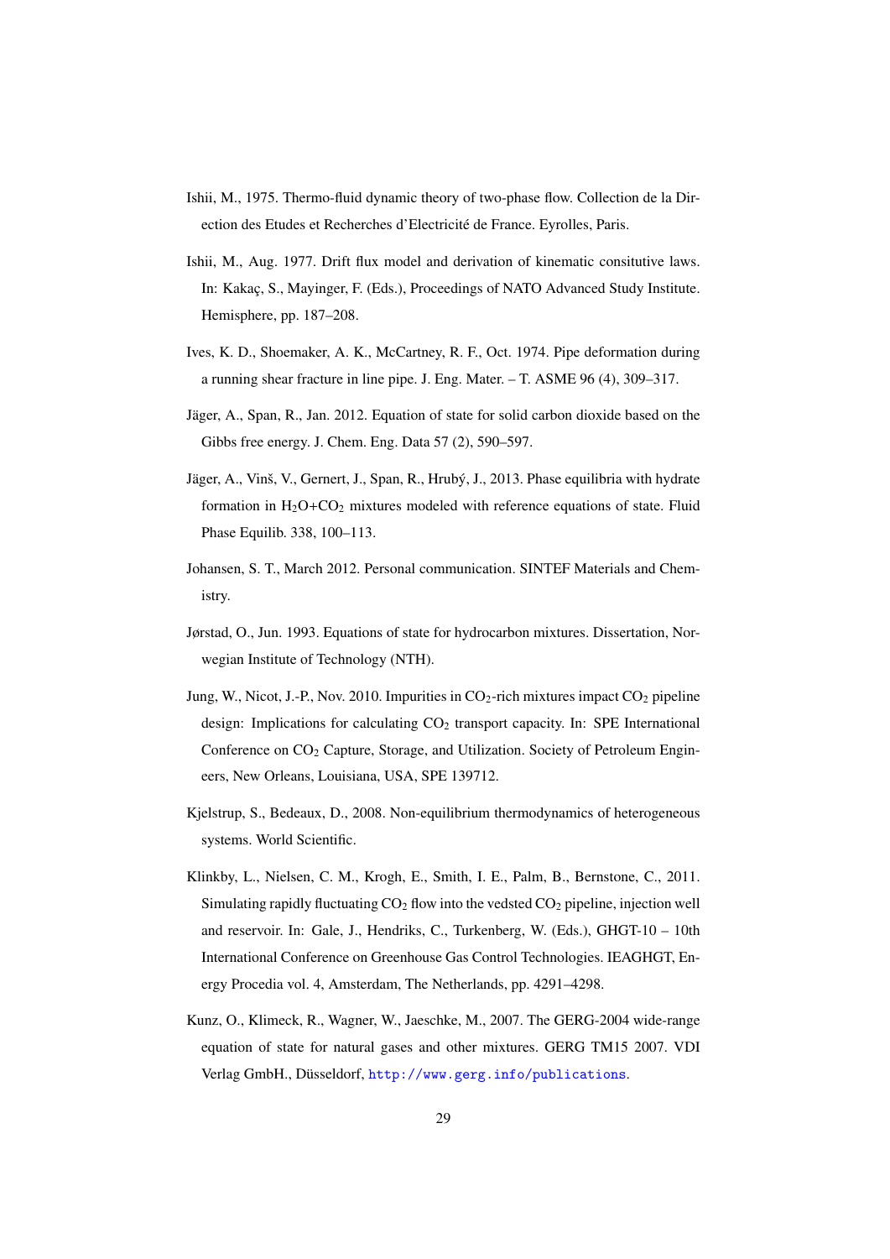- Ishii, M., 1975. Thermo-fluid dynamic theory of two-phase flow. Collection de la Direction des Etudes et Recherches d'Electricité de France. Eyrolles, Paris.
- Ishii, M., Aug. 1977. Drift flux model and derivation of kinematic consitutive laws. In: Kakaç, S., Mayinger, F. (Eds.), Proceedings of NATO Advanced Study Institute. Hemisphere, pp. 187–208.
- Ives, K. D., Shoemaker, A. K., McCartney, R. F., Oct. 1974. Pipe deformation during a running shear fracture in line pipe. J. Eng. Mater. – T. ASME 96 (4), 309–317.
- Jäger, A., Span, R., Jan. 2012. Equation of state for solid carbon dioxide based on the Gibbs free energy. J. Chem. Eng. Data 57 (2), 590–597.
- Jäger, A., Vinš, V., Gernert, J., Span, R., Hrubý, J., 2013. Phase equilibria with hydrate formation in  $H_2O+CO_2$  mixtures modeled with reference equations of state. Fluid Phase Equilib. 338, 100–113.
- Johansen, S. T., March 2012. Personal communication. SINTEF Materials and Chemistry.
- Jørstad, O., Jun. 1993. Equations of state for hydrocarbon mixtures. Dissertation, Norwegian Institute of Technology (NTH).
- Jung, W., Nicot, J.-P., Nov. 2010. Impurities in  $CO_2$ -rich mixtures impact  $CO_2$  pipeline design: Implications for calculating  $CO<sub>2</sub>$  transport capacity. In: SPE International Conference on  $CO<sub>2</sub>$  Capture, Storage, and Utilization. Society of Petroleum Engineers, New Orleans, Louisiana, USA, SPE 139712.
- Kjelstrup, S., Bedeaux, D., 2008. Non-equilibrium thermodynamics of heterogeneous systems. World Scientific.
- Klinkby, L., Nielsen, C. M., Krogh, E., Smith, I. E., Palm, B., Bernstone, C., 2011. Simulating rapidly fluctuating  $CO<sub>2</sub>$  flow into the vedsted  $CO<sub>2</sub>$  pipeline, injection well and reservoir. In: Gale, J., Hendriks, C., Turkenberg, W. (Eds.), GHGT-10 – 10th International Conference on Greenhouse Gas Control Technologies. IEAGHGT, Energy Procedia vol. 4, Amsterdam, The Netherlands, pp. 4291–4298.
- Kunz, O., Klimeck, R., Wagner, W., Jaeschke, M., 2007. The GERG-2004 wide-range equation of state for natural gases and other mixtures. GERG TM15 2007. VDI Verlag GmbH., Düsseldorf, http://www.gerg.info/publications.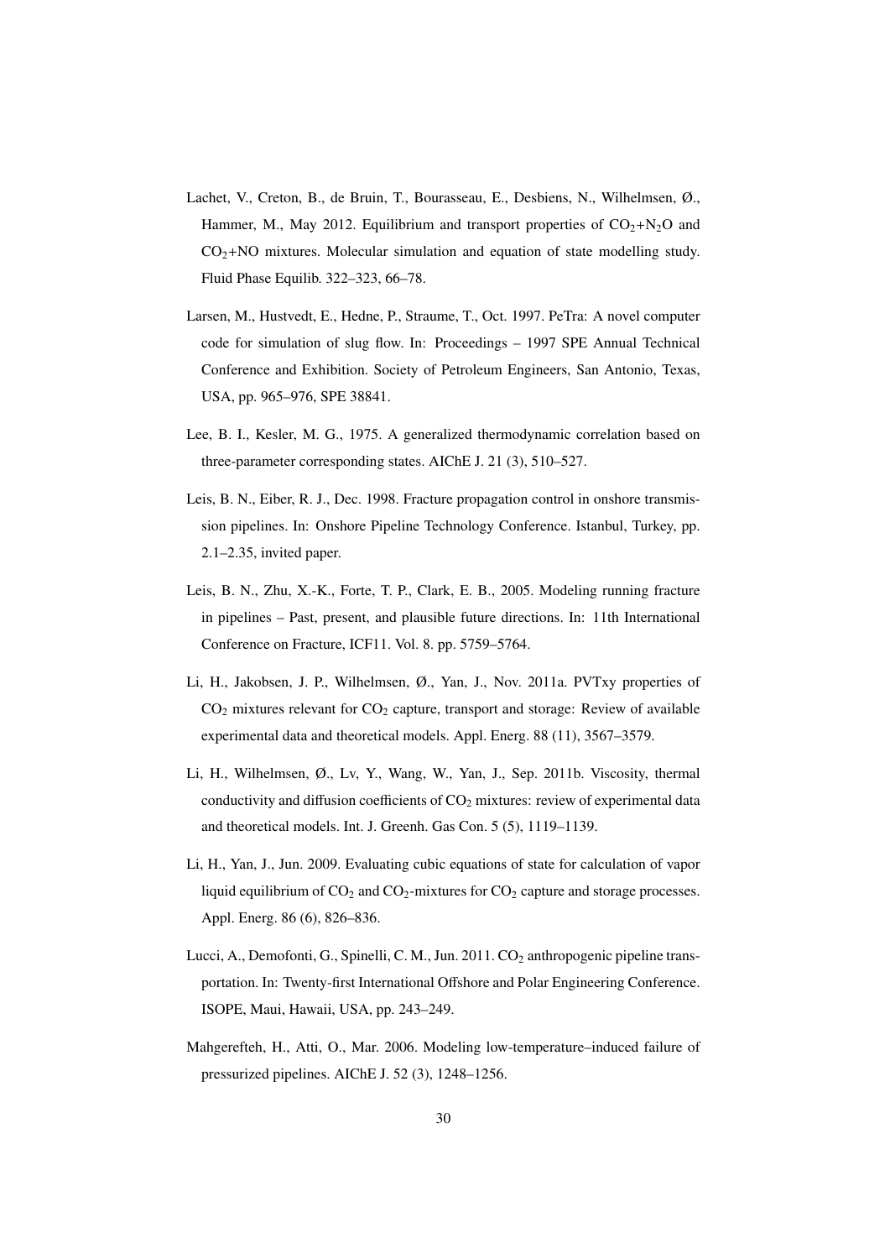- Lachet, V., Creton, B., de Bruin, T., Bourasseau, E., Desbiens, N., Wilhelmsen, Ø., Hammer, M., May 2012. Equilibrium and transport properties of  $CO<sub>2</sub>+N<sub>2</sub>O$  and  $CO<sub>2</sub>+NO$  mixtures. Molecular simulation and equation of state modelling study. Fluid Phase Equilib. 322–323, 66–78.
- Larsen, M., Hustvedt, E., Hedne, P., Straume, T., Oct. 1997. PeTra: A novel computer code for simulation of slug flow. In: Proceedings – 1997 SPE Annual Technical Conference and Exhibition. Society of Petroleum Engineers, San Antonio, Texas, USA, pp. 965–976, SPE 38841.
- Lee, B. I., Kesler, M. G., 1975. A generalized thermodynamic correlation based on three-parameter corresponding states. AIChE J. 21 (3), 510–527.
- Leis, B. N., Eiber, R. J., Dec. 1998. Fracture propagation control in onshore transmission pipelines. In: Onshore Pipeline Technology Conference. Istanbul, Turkey, pp. 2.1–2.35, invited paper.
- Leis, B. N., Zhu, X.-K., Forte, T. P., Clark, E. B., 2005. Modeling running fracture in pipelines – Past, present, and plausible future directions. In: 11th International Conference on Fracture, ICF11. Vol. 8. pp. 5759–5764.
- Li, H., Jakobsen, J. P., Wilhelmsen, Ø., Yan, J., Nov. 2011a. PVTxy properties of  $CO<sub>2</sub>$  mixtures relevant for  $CO<sub>2</sub>$  capture, transport and storage: Review of available experimental data and theoretical models. Appl. Energ. 88 (11), 3567–3579.
- Li, H., Wilhelmsen, Ø., Lv, Y., Wang, W., Yan, J., Sep. 2011b. Viscosity, thermal conductivity and diffusion coefficients of  $CO<sub>2</sub>$  mixtures: review of experimental data and theoretical models. Int. J. Greenh. Gas Con. 5 (5), 1119–1139.
- Li, H., Yan, J., Jun. 2009. Evaluating cubic equations of state for calculation of vapor liquid equilibrium of  $CO_2$  and  $CO_2$ -mixtures for  $CO_2$  capture and storage processes. Appl. Energ. 86 (6), 826–836.
- Lucci, A., Demofonti, G., Spinelli, C. M., Jun. 2011. CO<sub>2</sub> anthropogenic pipeline transportation. In: Twenty-first International Offshore and Polar Engineering Conference. ISOPE, Maui, Hawaii, USA, pp. 243–249.
- Mahgerefteh, H., Atti, O., Mar. 2006. Modeling low-temperature–induced failure of pressurized pipelines. AIChE J. 52 (3), 1248–1256.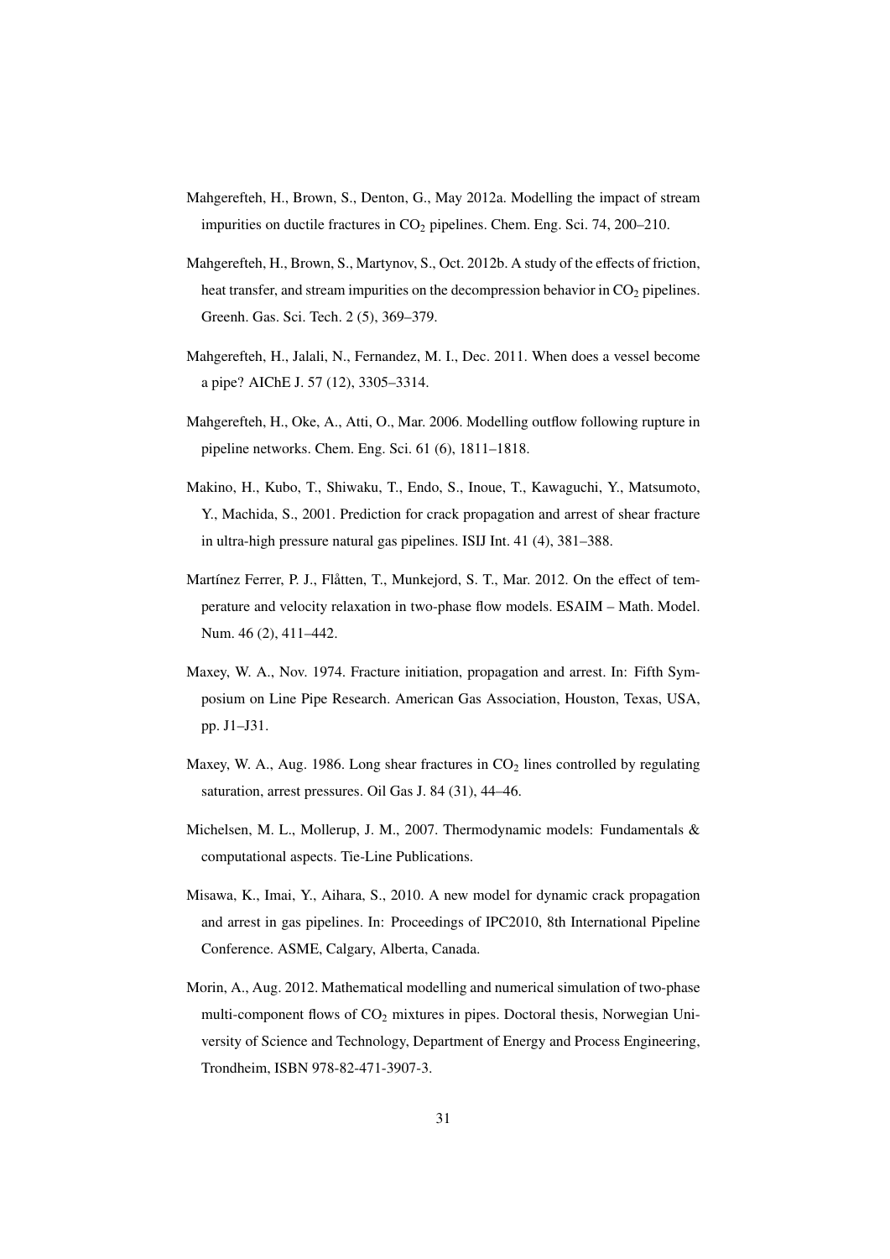- Mahgerefteh, H., Brown, S., Denton, G., May 2012a. Modelling the impact of stream impurities on ductile fractures in  $CO<sub>2</sub>$  pipelines. Chem. Eng. Sci. 74, 200–210.
- Mahgerefteh, H., Brown, S., Martynov, S., Oct. 2012b. A study of the effects of friction, heat transfer, and stream impurities on the decompression behavior in  $CO<sub>2</sub>$  pipelines. Greenh. Gas. Sci. Tech. 2 (5), 369–379.
- Mahgerefteh, H., Jalali, N., Fernandez, M. I., Dec. 2011. When does a vessel become a pipe? AIChE J. 57 (12), 3305–3314.
- Mahgerefteh, H., Oke, A., Atti, O., Mar. 2006. Modelling outflow following rupture in pipeline networks. Chem. Eng. Sci. 61 (6), 1811–1818.
- Makino, H., Kubo, T., Shiwaku, T., Endo, S., Inoue, T., Kawaguchi, Y., Matsumoto, Y., Machida, S., 2001. Prediction for crack propagation and arrest of shear fracture in ultra-high pressure natural gas pipelines. ISIJ Int. 41 (4), 381–388.
- Martínez Ferrer, P. J., Flåtten, T., Munkejord, S. T., Mar. 2012. On the effect of temperature and velocity relaxation in two-phase flow models. ESAIM – Math. Model. Num. 46 (2), 411–442.
- Maxey, W. A., Nov. 1974. Fracture initiation, propagation and arrest. In: Fifth Symposium on Line Pipe Research. American Gas Association, Houston, Texas, USA, pp. J1–J31.
- Maxey, W. A., Aug. 1986. Long shear fractures in  $CO<sub>2</sub>$  lines controlled by regulating saturation, arrest pressures. Oil Gas J. 84 (31), 44–46.
- Michelsen, M. L., Mollerup, J. M., 2007. Thermodynamic models: Fundamentals  $\&$ computational aspects. Tie-Line Publications.
- Misawa, K., Imai, Y., Aihara, S., 2010. A new model for dynamic crack propagation and arrest in gas pipelines. In: Proceedings of IPC2010, 8th International Pipeline Conference. ASME, Calgary, Alberta, Canada.
- Morin, A., Aug. 2012. Mathematical modelling and numerical simulation of two-phase multi-component flows of  $CO<sub>2</sub>$  mixtures in pipes. Doctoral thesis, Norwegian University of Science and Technology, Department of Energy and Process Engineering, Trondheim, ISBN 978-82-471-3907-3.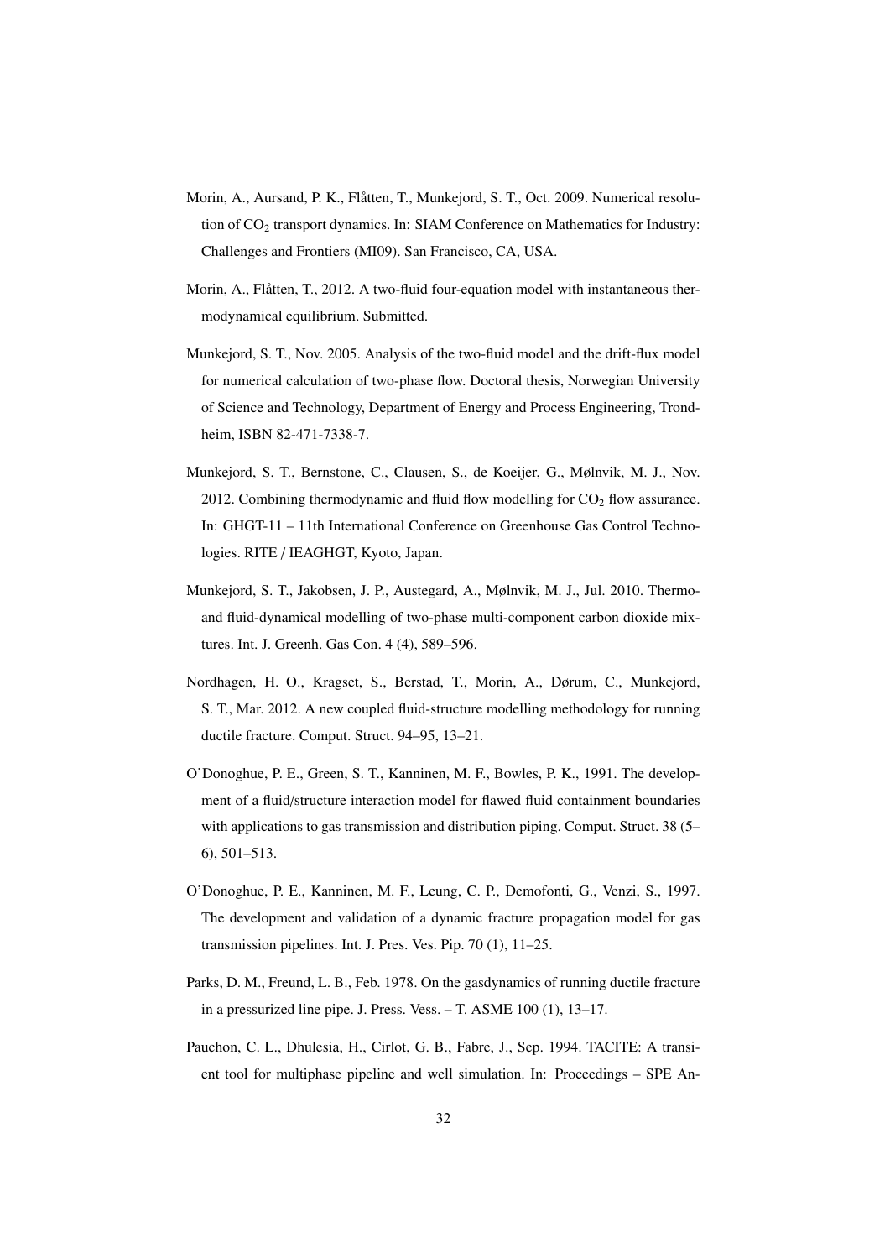- Morin, A., Aursand, P. K., Flåtten, T., Munkejord, S. T., Oct. 2009. Numerical resolution of CO<sub>2</sub> transport dynamics. In: SIAM Conference on Mathematics for Industry: Challenges and Frontiers (MI09). San Francisco, CA, USA.
- Morin, A., Flåtten, T., 2012. A two-fluid four-equation model with instantaneous thermodynamical equilibrium. Submitted.
- Munkejord, S. T., Nov. 2005. Analysis of the two-fluid model and the drift-flux model for numerical calculation of two-phase flow. Doctoral thesis, Norwegian University of Science and Technology, Department of Energy and Process Engineering, Trondheim, ISBN 82-471-7338-7.
- Munkejord, S. T., Bernstone, C., Clausen, S., de Koeijer, G., Mølnvik, M. J., Nov. 2012. Combining thermodynamic and fluid flow modelling for  $CO<sub>2</sub>$  flow assurance. In: GHGT-11 – 11th International Conference on Greenhouse Gas Control Technologies. RITE / IEAGHGT, Kyoto, Japan.
- Munkejord, S. T., Jakobsen, J. P., Austegard, A., Mølnvik, M. J., Jul. 2010. Thermoand fluid-dynamical modelling of two-phase multi-component carbon dioxide mixtures. Int. J. Greenh. Gas Con. 4 (4), 589–596.
- Nordhagen, H. O., Kragset, S., Berstad, T., Morin, A., Dørum, C., Munkejord, S. T., Mar. 2012. A new coupled fluid-structure modelling methodology for running ductile fracture. Comput. Struct. 94–95, 13–21.
- O'Donoghue, P. E., Green, S. T., Kanninen, M. F., Bowles, P. K., 1991. The development of a fluid/structure interaction model for flawed fluid containment boundaries with applications to gas transmission and distribution piping. Comput. Struct. 38 (5– 6), 501–513.
- O'Donoghue, P. E., Kanninen, M. F., Leung, C. P., Demofonti, G., Venzi, S., 1997. The development and validation of a dynamic fracture propagation model for gas transmission pipelines. Int. J. Pres. Ves. Pip. 70 (1), 11–25.
- Parks, D. M., Freund, L. B., Feb. 1978. On the gasdynamics of running ductile fracture in a pressurized line pipe. J. Press. Vess. – T. ASME 100 (1), 13–17.
- Pauchon, C. L., Dhulesia, H., Cirlot, G. B., Fabre, J., Sep. 1994. TACITE: A transient tool for multiphase pipeline and well simulation. In: Proceedings – SPE An-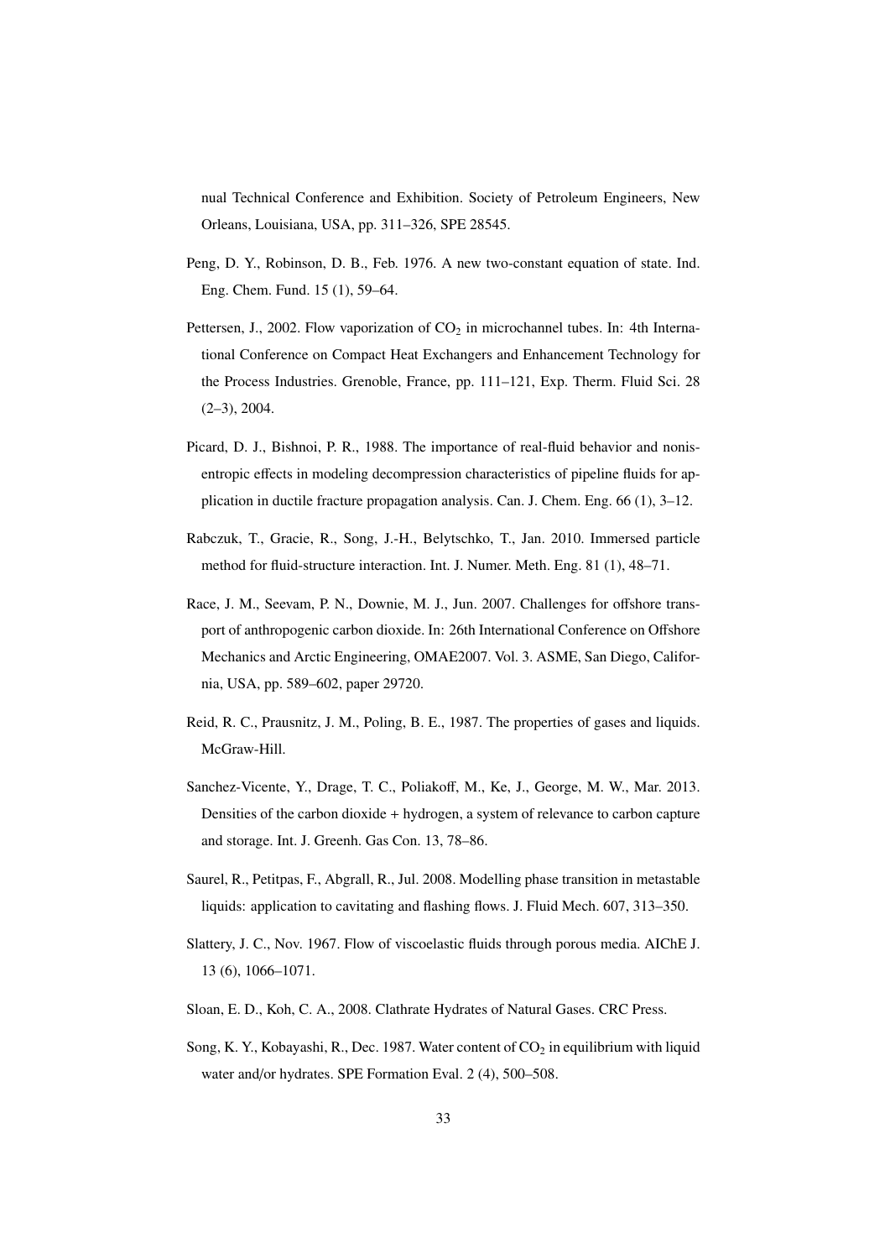nual Technical Conference and Exhibition. Society of Petroleum Engineers, New Orleans, Louisiana, USA, pp. 311–326, SPE 28545.

- Peng, D. Y., Robinson, D. B., Feb. 1976. A new two-constant equation of state. Ind. Eng. Chem. Fund. 15 (1), 59–64.
- Pettersen, J., 2002. Flow vaporization of  $CO<sub>2</sub>$  in microchannel tubes. In: 4th International Conference on Compact Heat Exchangers and Enhancement Technology for the Process Industries. Grenoble, France, pp. 111–121, Exp. Therm. Fluid Sci. 28 (2–3), 2004.
- Picard, D. J., Bishnoi, P. R., 1988. The importance of real-fluid behavior and nonisentropic effects in modeling decompression characteristics of pipeline fluids for application in ductile fracture propagation analysis. Can. J. Chem. Eng. 66 (1), 3–12.
- Rabczuk, T., Gracie, R., Song, J.-H., Belytschko, T., Jan. 2010. Immersed particle method for fluid-structure interaction. Int. J. Numer. Meth. Eng. 81 (1), 48–71.
- Race, J. M., Seevam, P. N., Downie, M. J., Jun. 2007. Challenges for offshore transport of anthropogenic carbon dioxide. In: 26th International Conference on Offshore Mechanics and Arctic Engineering, OMAE2007. Vol. 3. ASME, San Diego, California, USA, pp. 589–602, paper 29720.
- Reid, R. C., Prausnitz, J. M., Poling, B. E., 1987. The properties of gases and liquids. McGraw-Hill.
- Sanchez-Vicente, Y., Drage, T. C., Poliakoff, M., Ke, J., George, M. W., Mar. 2013. Densities of the carbon dioxide + hydrogen, a system of relevance to carbon capture and storage. Int. J. Greenh. Gas Con. 13, 78–86.
- Saurel, R., Petitpas, F., Abgrall, R., Jul. 2008. Modelling phase transition in metastable liquids: application to cavitating and flashing flows. J. Fluid Mech. 607, 313–350.
- Slattery, J. C., Nov. 1967. Flow of viscoelastic fluids through porous media. AIChE J. 13 (6), 1066–1071.
- Sloan, E. D., Koh, C. A., 2008. Clathrate Hydrates of Natural Gases. CRC Press.
- Song, K. Y., Kobayashi, R., Dec. 1987. Water content of  $CO<sub>2</sub>$  in equilibrium with liquid water and/or hydrates. SPE Formation Eval. 2 (4), 500–508.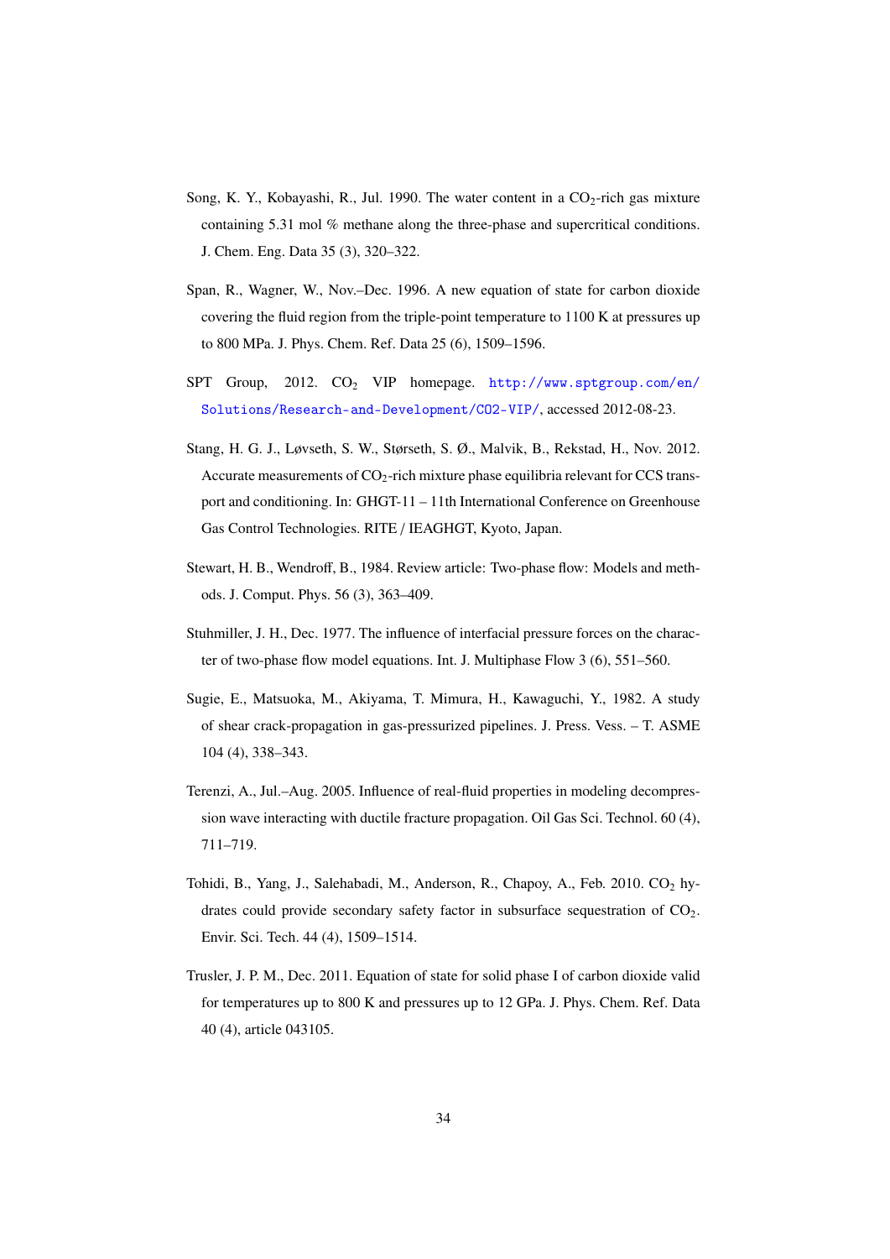- Song, K. Y., Kobayashi, R., Jul. 1990. The water content in a  $CO_2$ -rich gas mixture containing 5.31 mol % methane along the three-phase and supercritical conditions. J. Chem. Eng. Data 35 (3), 320–322.
- Span, R., Wagner, W., Nov.–Dec. 1996. A new equation of state for carbon dioxide covering the fluid region from the triple-point temperature to 1100 K at pressures up to 800 MPa. J. Phys. Chem. Ref. Data 25 (6), 1509–1596.
- SPT Group, 2012. CO<sub>2</sub> VIP homepage. http://www.sptgroup.com/en/ Solutions/Research-and-Development/CO2-VIP/, accessed 2012-08-23.
- Stang, H. G. J., Løvseth, S. W., Størseth, S. Ø., Malvik, B., Rekstad, H., Nov. 2012. Accurate measurements of  $CO<sub>2</sub>$ -rich mixture phase equilibria relevant for CCS transport and conditioning. In: GHGT-11 – 11th International Conference on Greenhouse Gas Control Technologies. RITE / IEAGHGT, Kyoto, Japan.
- Stewart, H. B., Wendroff, B., 1984. Review article: Two-phase flow: Models and methods. J. Comput. Phys. 56 (3), 363–409.
- Stuhmiller, J. H., Dec. 1977. The influence of interfacial pressure forces on the character of two-phase flow model equations. Int. J. Multiphase Flow 3 (6), 551–560.
- Sugie, E., Matsuoka, M., Akiyama, T. Mimura, H., Kawaguchi, Y., 1982. A study of shear crack-propagation in gas-pressurized pipelines. J. Press. Vess. – T. ASME 104 (4), 338–343.
- Terenzi, A., Jul.–Aug. 2005. Influence of real-fluid properties in modeling decompression wave interacting with ductile fracture propagation. Oil Gas Sci. Technol. 60 (4), 711–719.
- Tohidi, B., Yang, J., Salehabadi, M., Anderson, R., Chapoy, A., Feb. 2010. CO<sub>2</sub> hydrates could provide secondary safety factor in subsurface sequestration of  $CO<sub>2</sub>$ . Envir. Sci. Tech. 44 (4), 1509–1514.
- Trusler, J. P. M., Dec. 2011. Equation of state for solid phase I of carbon dioxide valid for temperatures up to 800 K and pressures up to 12 GPa. J. Phys. Chem. Ref. Data 40 (4), article 043105.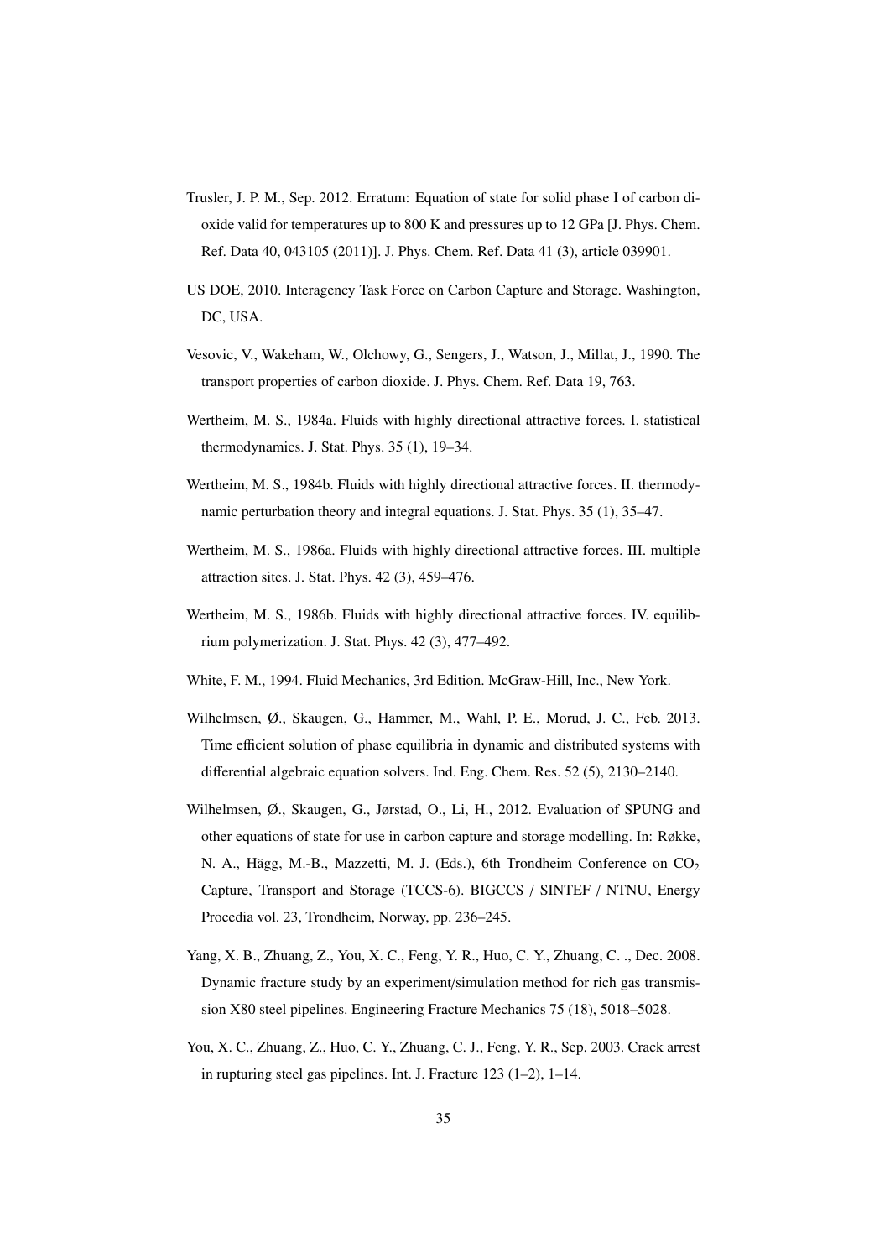- Trusler, J. P. M., Sep. 2012. Erratum: Equation of state for solid phase I of carbon dioxide valid for temperatures up to 800 K and pressures up to 12 GPa [J. Phys. Chem. Ref. Data 40, 043105 (2011)]. J. Phys. Chem. Ref. Data 41 (3), article 039901.
- US DOE, 2010. Interagency Task Force on Carbon Capture and Storage. Washington, DC, USA.
- Vesovic, V., Wakeham, W., Olchowy, G., Sengers, J., Watson, J., Millat, J., 1990. The transport properties of carbon dioxide. J. Phys. Chem. Ref. Data 19, 763.
- Wertheim, M. S., 1984a. Fluids with highly directional attractive forces. I. statistical thermodynamics. J. Stat. Phys. 35 (1), 19–34.
- Wertheim, M. S., 1984b. Fluids with highly directional attractive forces. II. thermodynamic perturbation theory and integral equations. J. Stat. Phys. 35 (1), 35–47.
- Wertheim, M. S., 1986a. Fluids with highly directional attractive forces. III. multiple attraction sites. J. Stat. Phys. 42 (3), 459–476.
- Wertheim, M. S., 1986b. Fluids with highly directional attractive forces. IV. equilibrium polymerization. J. Stat. Phys. 42 (3), 477–492.
- White, F. M., 1994. Fluid Mechanics, 3rd Edition. McGraw-Hill, Inc., New York.
- Wilhelmsen, Ø., Skaugen, G., Hammer, M., Wahl, P. E., Morud, J. C., Feb. 2013. Time efficient solution of phase equilibria in dynamic and distributed systems with differential algebraic equation solvers. Ind. Eng. Chem. Res. 52 (5), 2130–2140.
- Wilhelmsen, Ø., Skaugen, G., Jørstad, O., Li, H., 2012. Evaluation of SPUNG and other equations of state for use in carbon capture and storage modelling. In: Røkke, N. A., Hägg, M.-B., Mazzetti, M. J. (Eds.), 6th Trondheim Conference on CO<sub>2</sub> Capture, Transport and Storage (TCCS-6). BIGCCS / SINTEF / NTNU, Energy Procedia vol. 23, Trondheim, Norway, pp. 236–245.
- Yang, X. B., Zhuang, Z., You, X. C., Feng, Y. R., Huo, C. Y., Zhuang, C. ., Dec. 2008. Dynamic fracture study by an experiment/simulation method for rich gas transmission X80 steel pipelines. Engineering Fracture Mechanics 75 (18), 5018–5028.
- You, X. C., Zhuang, Z., Huo, C. Y., Zhuang, C. J., Feng, Y. R., Sep. 2003. Crack arrest in rupturing steel gas pipelines. Int. J. Fracture 123 (1–2), 1–14.